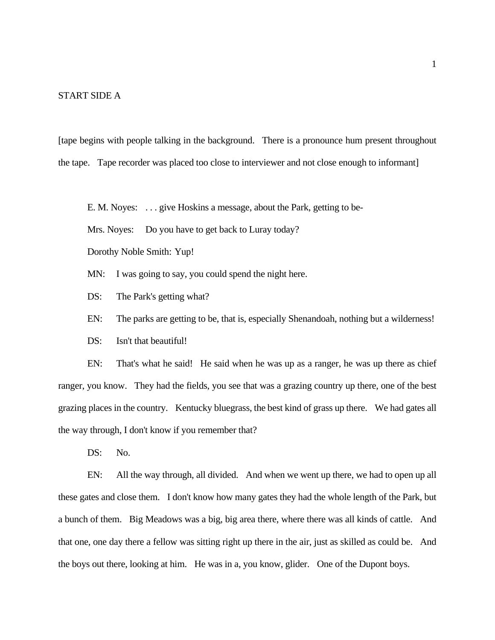#### START SIDE A

[tape begins with people talking in the background. There is a pronounce hum present throughout the tape. Tape recorder was placed too close to interviewer and not close enough to informant]

E. M. Noyes: . . . give Hoskins a message, about the Park, getting to be-

Mrs. Noyes: Do you have to get back to Luray today?

Dorothy Noble Smith: Yup!

- MN: I was going to say, you could spend the night here.
- DS: The Park's getting what?
- EN: The parks are getting to be, that is, especially Shenandoah, nothing but a wilderness!
- DS: Isn't that beautiful!

EN: That's what he said! He said when he was up as a ranger, he was up there as chief ranger, you know. They had the fields, you see that was a grazing country up there, one of the best grazing places in the country. Kentucky bluegrass, the best kind of grass up there. We had gates all the way through, I don't know if you remember that?

DS: No.

EN: All the way through, all divided. And when we went up there, we had to open up all these gates and close them. I don't know how many gates they had the whole length of the Park, but a bunch of them. Big Meadows was a big, big area there, where there was all kinds of cattle. And that one, one day there a fellow was sitting right up there in the air, just as skilled as could be. And the boys out there, looking at him. He was in a, you know, glider. One of the Dupont boys.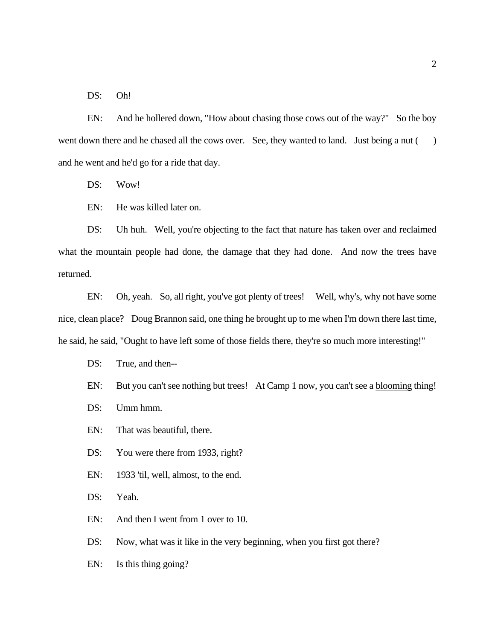DS: Oh!

EN: And he hollered down, "How about chasing those cows out of the way?" So the boy went down there and he chased all the cows over. See, they wanted to land. Just being a nut () and he went and he'd go for a ride that day.

DS: Wow!

EN: He was killed later on.

DS: Uh huh. Well, you're objecting to the fact that nature has taken over and reclaimed what the mountain people had done, the damage that they had done. And now the trees have returned.

EN: Oh, yeah. So, all right, you've got plenty of trees! Well, why's, why not have some nice, clean place? Doug Brannon said, one thing he brought up to me when I'm down there last time, he said, he said, "Ought to have left some of those fields there, they're so much more interesting!"

DS: True, and then--

EN: But you can't see nothing but trees! At Camp 1 now, you can't see a blooming thing!

DS: Umm hmm.

EN: That was beautiful, there.

DS: You were there from 1933, right?

EN: 1933 'til, well, almost, to the end.

DS: Yeah.

EN: And then I went from 1 over to 10.

DS: Now, what was it like in the very beginning, when you first got there?

EN: Is this thing going?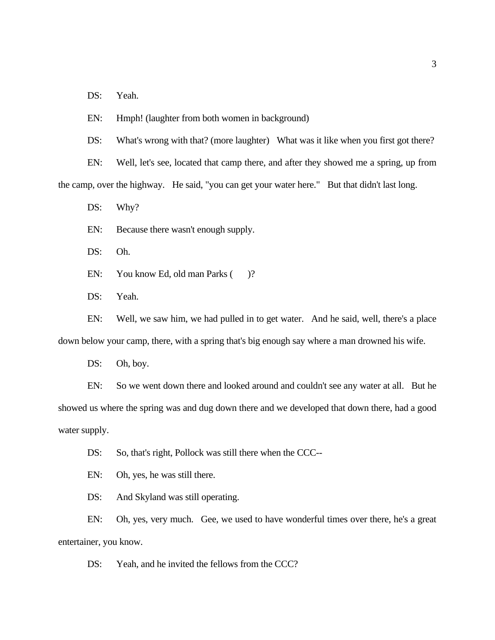DS: Yeah.

EN: Hmph! (laughter from both women in background)

DS: What's wrong with that? (more laughter) What was it like when you first got there?

EN: Well, let's see, located that camp there, and after they showed me a spring, up from the camp, over the highway. He said, "you can get your water here." But that didn't last long.

DS: Why?

EN: Because there wasn't enough supply.

DS: Oh.

EN: You know Ed, old man Parks ()?

DS: Yeah.

EN: Well, we saw him, we had pulled in to get water. And he said, well, there's a place down below your camp, there, with a spring that's big enough say where a man drowned his wife.

DS: Oh, boy.

EN: So we went down there and looked around and couldn't see any water at all. But he showed us where the spring was and dug down there and we developed that down there, had a good water supply.

DS: So, that's right, Pollock was still there when the CCC--

EN: Oh, yes, he was still there.

DS: And Skyland was still operating.

EN: Oh, yes, very much. Gee, we used to have wonderful times over there, he's a great entertainer, you know.

DS: Yeah, and he invited the fellows from the CCC?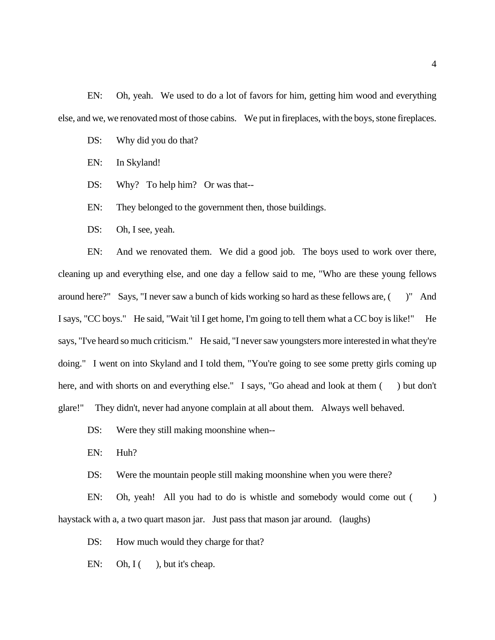EN: Oh, yeah. We used to do a lot of favors for him, getting him wood and everything else, and we, we renovated most of those cabins. We put in fireplaces, with the boys, stone fireplaces.

- DS: Why did you do that?
- EN: In Skyland!
- DS: Why? To help him? Or was that--
- EN: They belonged to the government then, those buildings.
- DS: Oh, I see, yeah.

EN: And we renovated them. We did a good job. The boys used to work over there, cleaning up and everything else, and one day a fellow said to me, "Who are these young fellows around here?" Says, "I never saw a bunch of kids working so hard as these fellows are, ( )" And I says, "CC boys." He said, "Wait 'til I get home, I'm going to tell them what a CC boy is like!" He says, "I've heard so much criticism." He said, "I never saw youngsters more interested in what they're doing." I went on into Skyland and I told them, "You're going to see some pretty girls coming up here, and with shorts on and everything else." I says, "Go ahead and look at them () but don't glare!" They didn't, never had anyone complain at all about them. Always well behaved.

- DS: Were they still making moonshine when--
- EN: Huh?

DS: Were the mountain people still making moonshine when you were there?

EN: Oh, yeah! All you had to do is whistle and somebody would come out () haystack with a, a two quart mason jar. Just pass that mason jar around. (laughs)

DS: How much would they charge for that?

EN: Oh,  $I($ , but it's cheap.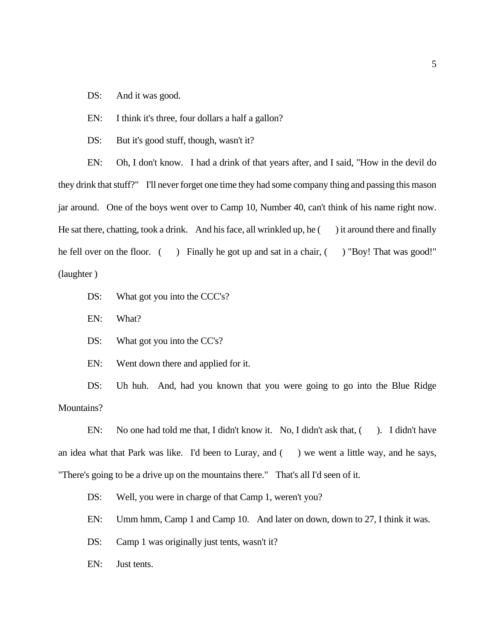DS: And it was good.

EN: I think it's three, four dollars a half a gallon?

DS: But it's good stuff, though, wasn't it?

EN: Oh, I don't know. I had a drink of that years after, and I said, "How in the devil do they drink that stuff?" I'll never forget one time they had some company thing and passing this mason jar around. One of the boys went over to Camp 10, Number 40, can't think of his name right now. He sat there, chatting, took a drink. And his face, all wrinkled up, he  $($ ) it around there and finally he fell over on the floor. () Finally he got up and sat in a chair, () "Boy! That was good!" (laughter )

- DS: What got you into the CCC's?
- EN: What?

DS: What got you into the CC's?

EN: Went down there and applied for it.

DS: Uh huh. And, had you known that you were going to go into the Blue Ridge Mountains?

EN: No one had told me that, I didn't know it. No, I didn't ask that, () I didn't have an idea what that Park was like. I'd been to Luray, and  $($ ) we went a little way, and he says, "There's going to be a drive up on the mountains there." That's all I'd seen of it.

DS: Well, you were in charge of that Camp 1, weren't you?

EN: Umm hmm, Camp 1 and Camp 10. And later on down, down to 27, I think it was.

DS: Camp 1 was originally just tents, wasn't it?

EN: Just tents.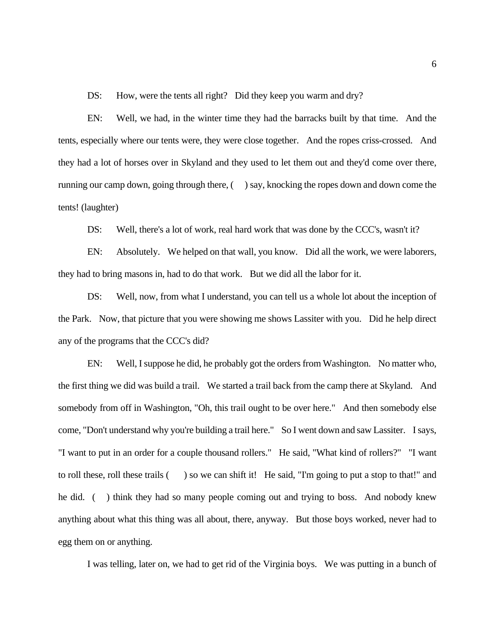DS: How, were the tents all right? Did they keep you warm and dry?

EN: Well, we had, in the winter time they had the barracks built by that time. And the tents, especially where our tents were, they were close together. And the ropes criss-crossed. And they had a lot of horses over in Skyland and they used to let them out and they'd come over there, running our camp down, going through there, ( ) say, knocking the ropes down and down come the tents! (laughter)

DS: Well, there's a lot of work, real hard work that was done by the CCC's, wasn't it?

EN: Absolutely. We helped on that wall, you know. Did all the work, we were laborers, they had to bring masons in, had to do that work. But we did all the labor for it.

DS: Well, now, from what I understand, you can tell us a whole lot about the inception of the Park. Now, that picture that you were showing me shows Lassiter with you. Did he help direct any of the programs that the CCC's did?

EN: Well, I suppose he did, he probably got the orders from Washington. No matter who, the first thing we did was build a trail. We started a trail back from the camp there at Skyland. And somebody from off in Washington, "Oh, this trail ought to be over here." And then somebody else come, "Don't understand why you're building a trail here." So I went down and saw Lassiter. I says, "I want to put in an order for a couple thousand rollers." He said, "What kind of rollers?" "I want to roll these, roll these trails ( ) so we can shift it! He said, "I'm going to put a stop to that!" and he did. ( ) think they had so many people coming out and trying to boss. And nobody knew anything about what this thing was all about, there, anyway. But those boys worked, never had to egg them on or anything.

I was telling, later on, we had to get rid of the Virginia boys. We was putting in a bunch of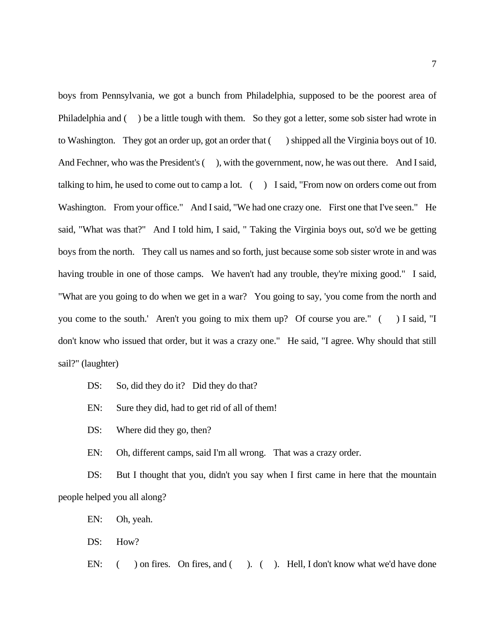boys from Pennsylvania, we got a bunch from Philadelphia, supposed to be the poorest area of Philadelphia and () be a little tough with them. So they got a letter, some sob sister had wrote in to Washington. They got an order up, got an order that ( ) shipped all the Virginia boys out of 10. And Fechner, who was the President's (), with the government, now, he was out there. And I said, talking to him, he used to come out to camp a lot.  $($  ) I said, "From now on orders come out from Washington. From your office." And I said, "We had one crazy one. First one that I've seen." He said, "What was that?" And I told him, I said, " Taking the Virginia boys out, so'd we be getting boys from the north. They call us names and so forth, just because some sob sister wrote in and was having trouble in one of those camps. We haven't had any trouble, they're mixing good." I said, "What are you going to do when we get in a war? You going to say, 'you come from the north and you come to the south.' Aren't you going to mix them up? Of course you are." ( ) I said, "I don't know who issued that order, but it was a crazy one." He said, "I agree. Why should that still sail?" (laughter)

- DS: So, did they do it? Did they do that?
- EN: Sure they did, had to get rid of all of them!
- DS: Where did they go, then?
- EN: Oh, different camps, said I'm all wrong. That was a crazy order.

DS: But I thought that you, didn't you say when I first came in here that the mountain people helped you all along?

EN: Oh, yeah.

DS: How?

EN: ( ) on fires. On fires, and ( ). ( ). Hell, I don't know what we'd have done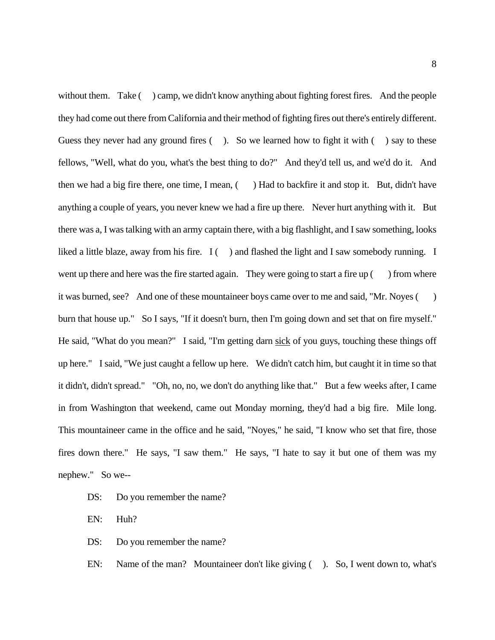without them. Take ( ) camp, we didn't know anything about fighting forest fires. And the people they had come out there from California and their method of fighting fires out there's entirely different. Guess they never had any ground fires  $($ ). So we learned how to fight it with  $($ ) say to these fellows, "Well, what do you, what's the best thing to do?" And they'd tell us, and we'd do it. And then we had a big fire there, one time, I mean, () Had to backfire it and stop it. But, didn't have anything a couple of years, you never knew we had a fire up there. Never hurt anything with it. But there was a, I was talking with an army captain there, with a big flashlight, and I saw something, looks liked a little blaze, away from his fire.  $I(\ )$  and flashed the light and I saw somebody running. I went up there and here was the fire started again. They were going to start a fire up () from where it was burned, see? And one of these mountaineer boys came over to me and said, "Mr. Noyes ( ) burn that house up." So I says, "If it doesn't burn, then I'm going down and set that on fire myself." He said, "What do you mean?" I said, "I'm getting darn sick of you guys, touching these things off up here." I said, "We just caught a fellow up here. We didn't catch him, but caught it in time so that it didn't, didn't spread." "Oh, no, no, we don't do anything like that." But a few weeks after, I came in from Washington that weekend, came out Monday morning, they'd had a big fire. Mile long. This mountaineer came in the office and he said, "Noyes," he said, "I know who set that fire, those fires down there." He says, "I saw them." He says, "I hate to say it but one of them was my nephew." So we--

- DS: Do you remember the name?
- EN: Huh?
- DS: Do you remember the name?
- EN: Name of the man? Mountaineer don't like giving ( ). So, I went down to, what's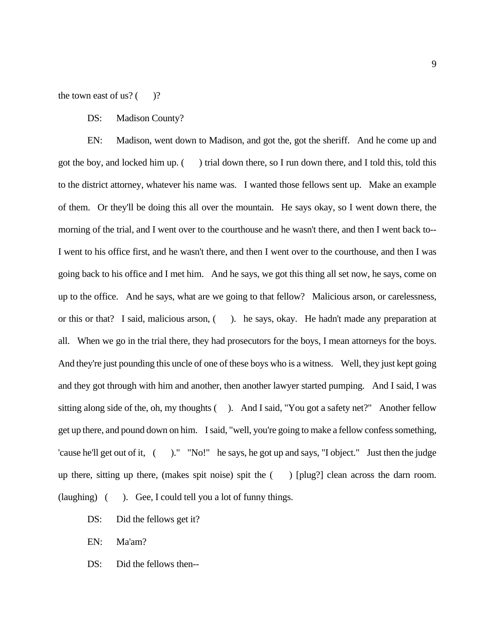the town east of us?  $($ )?

#### DS: Madison County?

EN: Madison, went down to Madison, and got the, got the sheriff. And he come up and got the boy, and locked him up. ( ) trial down there, so I run down there, and I told this, told this to the district attorney, whatever his name was. I wanted those fellows sent up. Make an example of them. Or they'll be doing this all over the mountain. He says okay, so I went down there, the morning of the trial, and I went over to the courthouse and he wasn't there, and then I went back to-- I went to his office first, and he wasn't there, and then I went over to the courthouse, and then I was going back to his office and I met him. And he says, we got this thing all set now, he says, come on up to the office. And he says, what are we going to that fellow? Malicious arson, or carelessness, or this or that? I said, malicious arson, ( ). he says, okay. He hadn't made any preparation at all. When we go in the trial there, they had prosecutors for the boys, I mean attorneys for the boys. And they're just pounding this uncle of one of these boys who is a witness. Well, they just kept going and they got through with him and another, then another lawyer started pumping. And I said, I was sitting along side of the, oh, my thoughts (). And I said, "You got a safety net?" Another fellow get up there, and pound down on him. I said, "well, you're going to make a fellow confess something, 'cause he'll get out of it, ( )." "No!" he says, he got up and says, "I object." Just then the judge up there, sitting up there, (makes spit noise) spit the ( ) [plug?] clean across the darn room. (laughing) ( ). Gee, I could tell you a lot of funny things.

- DS: Did the fellows get it?
- EN: Ma'am?
- DS: Did the fellows then--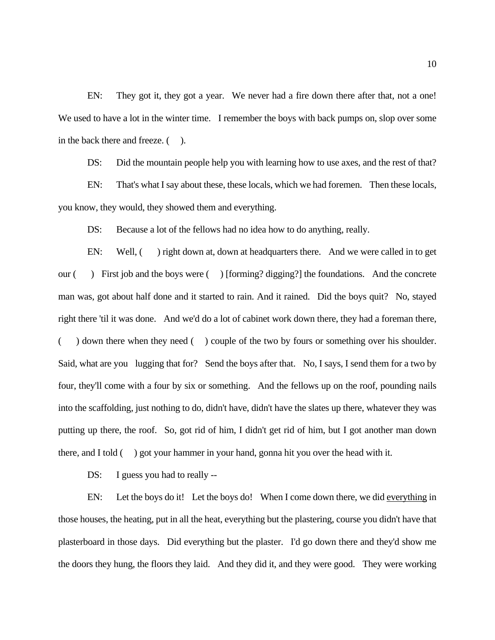EN: They got it, they got a year. We never had a fire down there after that, not a one! We used to have a lot in the winter time. I remember the boys with back pumps on, slop over some in the back there and freeze. ().

DS: Did the mountain people help you with learning how to use axes, and the rest of that? EN: That's what I say about these, these locals, which we had foremen. Then these locals, you know, they would, they showed them and everything.

DS: Because a lot of the fellows had no idea how to do anything, really.

EN: Well, () right down at, down at headquarters there. And we were called in to get our ( ) First job and the boys were ( ) [forming? digging?] the foundations. And the concrete man was, got about half done and it started to rain. And it rained. Did the boys quit? No, stayed right there 'til it was done. And we'd do a lot of cabinet work down there, they had a foreman there, ( ) down there when they need ( ) couple of the two by fours or something over his shoulder. Said, what are you lugging that for? Send the boys after that. No, I says, I send them for a two by four, they'll come with a four by six or something. And the fellows up on the roof, pounding nails into the scaffolding, just nothing to do, didn't have, didn't have the slates up there, whatever they was putting up there, the roof. So, got rid of him, I didn't get rid of him, but I got another man down there, and I told ( ) got your hammer in your hand, gonna hit you over the head with it.

DS: I guess you had to really --

EN: Let the boys do it! Let the boys do! When I come down there, we did everything in those houses, the heating, put in all the heat, everything but the plastering, course you didn't have that plasterboard in those days. Did everything but the plaster. I'd go down there and they'd show me the doors they hung, the floors they laid. And they did it, and they were good. They were working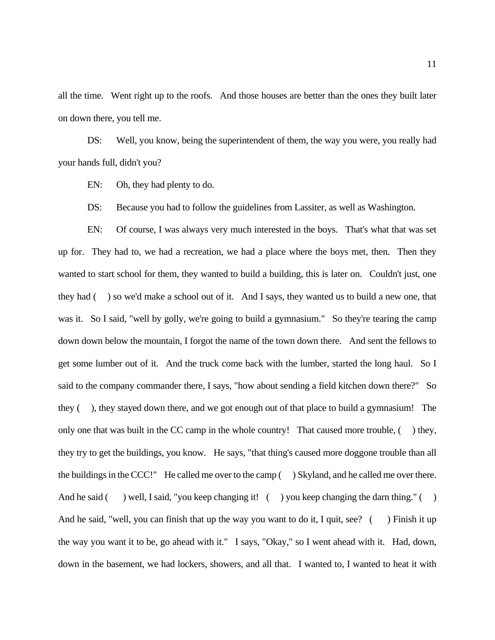all the time. Went right up to the roofs. And those houses are better than the ones they built later on down there, you tell me.

DS: Well, you know, being the superintendent of them, the way you were, you really had your hands full, didn't you?

EN: Oh, they had plenty to do.

DS: Because you had to follow the guidelines from Lassiter, as well as Washington.

EN: Of course, I was always very much interested in the boys. That's what that was set up for. They had to, we had a recreation, we had a place where the boys met, then. Then they wanted to start school for them, they wanted to build a building, this is later on. Couldn't just, one they had ( ) so we'd make a school out of it. And I says, they wanted us to build a new one, that was it. So I said, "well by golly, we're going to build a gymnasium." So they're tearing the camp down down below the mountain, I forgot the name of the town down there. And sent the fellows to get some lumber out of it. And the truck come back with the lumber, started the long haul. So I said to the company commander there, I says, "how about sending a field kitchen down there?" So they ( ), they stayed down there, and we got enough out of that place to build a gymnasium! The only one that was built in the CC camp in the whole country! That caused more trouble, ( ) they, they try to get the buildings, you know. He says, "that thing's caused more doggone trouble than all the buildings in the CCC!" He called me over to the camp ( ) Skyland, and he called me over there. And he said  $($ ) well, I said, "you keep changing it!  $($ ) you keep changing the darn thing."  $($ ) And he said, "well, you can finish that up the way you want to do it, I quit, see? () Finish it up the way you want it to be, go ahead with it." I says, "Okay," so I went ahead with it. Had, down, down in the basement, we had lockers, showers, and all that. I wanted to, I wanted to heat it with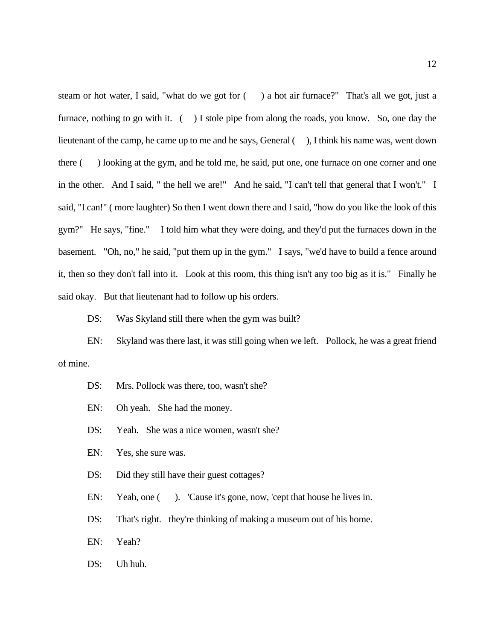steam or hot water, I said, "what do we got for ( ) a hot air furnace?" That's all we got, just a furnace, nothing to go with it. () I stole pipe from along the roads, you know. So, one day the lieutenant of the camp, he came up to me and he says, General (), I think his name was, went down there ( ) looking at the gym, and he told me, he said, put one, one furnace on one corner and one in the other. And I said, " the hell we are!" And he said, "I can't tell that general that I won't." I said, "I can!" ( more laughter) So then I went down there and I said, "how do you like the look of this gym?" He says, "fine." I told him what they were doing, and they'd put the furnaces down in the basement. "Oh, no," he said, "put them up in the gym." I says, "we'd have to build a fence around it, then so they don't fall into it. Look at this room, this thing isn't any too big as it is." Finally he said okay. But that lieutenant had to follow up his orders.

DS: Was Skyland still there when the gym was built?

EN: Skyland was there last, it was still going when we left. Pollock, he was a great friend of mine.

- DS: Mrs. Pollock was there, too, wasn't she?
- EN: Oh yeah. She had the money.
- DS: Yeah. She was a nice women, wasn't she?
- EN: Yes, she sure was.
- DS: Did they still have their guest cottages?
- EN: Yeah, one (). 'Cause it's gone, now, 'cept that house he lives in.
- DS: That's right. they're thinking of making a museum out of his home.
- EN: Yeah?
- DS: Uh huh.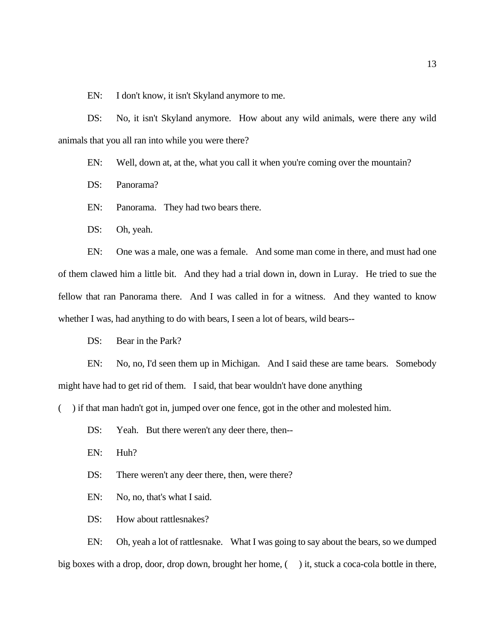EN: I don't know, it isn't Skyland anymore to me.

DS: No, it isn't Skyland anymore. How about any wild animals, were there any wild animals that you all ran into while you were there?

EN: Well, down at, at the, what you call it when you're coming over the mountain?

DS: Panorama?

EN: Panorama. They had two bears there.

DS: Oh, yeah.

EN: One was a male, one was a female. And some man come in there, and must had one of them clawed him a little bit. And they had a trial down in, down in Luray. He tried to sue the fellow that ran Panorama there. And I was called in for a witness. And they wanted to know whether I was, had anything to do with bears, I seen a lot of bears, wild bears--

DS: Bear in the Park?

EN: No, no, I'd seen them up in Michigan. And I said these are tame bears. Somebody might have had to get rid of them. I said, that bear wouldn't have done anything

( ) if that man hadn't got in, jumped over one fence, got in the other and molested him.

DS: Yeah. But there weren't any deer there, then--

EN: Huh?

DS: There weren't any deer there, then, were there?

EN: No, no, that's what I said.

DS: How about rattlesnakes?

EN: Oh, yeah a lot of rattlesnake. What I was going to say about the bears, so we dumped big boxes with a drop, door, drop down, brought her home, () it, stuck a coca-cola bottle in there,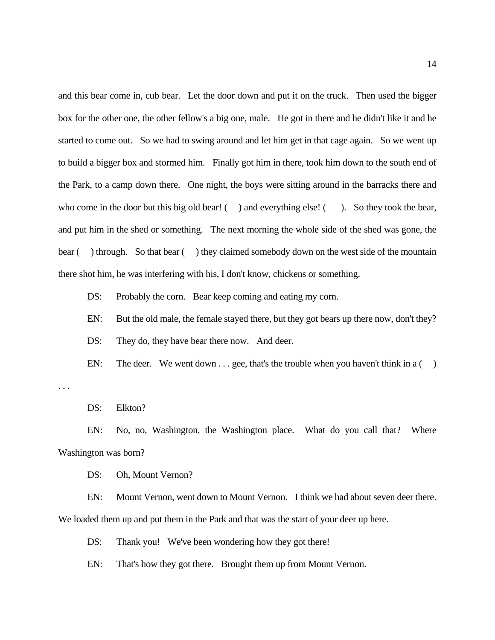and this bear come in, cub bear. Let the door down and put it on the truck. Then used the bigger box for the other one, the other fellow's a big one, male. He got in there and he didn't like it and he started to come out. So we had to swing around and let him get in that cage again. So we went up to build a bigger box and stormed him. Finally got him in there, took him down to the south end of the Park, to a camp down there. One night, the boys were sitting around in the barracks there and who come in the door but this big old bear!  $($ ) and everything else!  $($ ). So they took the bear, and put him in the shed or something. The next morning the whole side of the shed was gone, the bear () through. So that bear () they claimed somebody down on the west side of the mountain there shot him, he was interfering with his, I don't know, chickens or something.

DS: Probably the corn. Bear keep coming and eating my corn.

EN: But the old male, the female stayed there, but they got bears up there now, don't they?

DS: They do, they have bear there now. And deer.

EN: The deer. We went down  $\ldots$  gee, that's the trouble when you haven't think in a ()

. . .

DS: Elkton?

EN: No, no, Washington, the Washington place. What do you call that? Where Washington was born?

DS: Oh, Mount Vernon?

EN: Mount Vernon, went down to Mount Vernon. I think we had about seven deer there. We loaded them up and put them in the Park and that was the start of your deer up here.

DS: Thank you! We've been wondering how they got there!

EN: That's how they got there. Brought them up from Mount Vernon.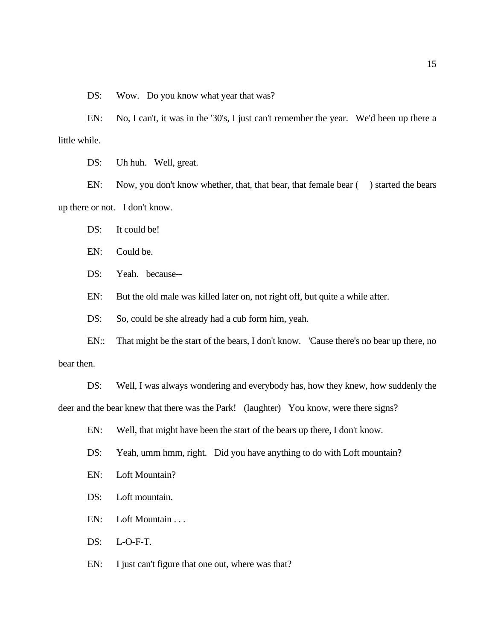DS: Wow. Do you know what year that was?

EN: No, I can't, it was in the '30's, I just can't remember the year. We'd been up there a little while.

DS: Uh huh. Well, great.

EN: Now, you don't know whether, that, that bear, that female bear () started the bears up there or not. I don't know.

DS: It could be!

EN: Could be.

DS: Yeah. because--

EN: But the old male was killed later on, not right off, but quite a while after.

DS: So, could be she already had a cub form him, yeah.

EN:: That might be the start of the bears, I don't know. 'Cause there's no bear up there, no bear then.

DS: Well, I was always wondering and everybody has, how they knew, how suddenly the deer and the bear knew that there was the Park! (laughter) You know, were there signs?

EN: Well, that might have been the start of the bears up there, I don't know.

DS: Yeah, umm hmm, right. Did you have anything to do with Loft mountain?

- EN: Loft Mountain?
- DS: Loft mountain.
- EN: Loft Mountain . . .

DS: L-O-F-T.

EN: I just can't figure that one out, where was that?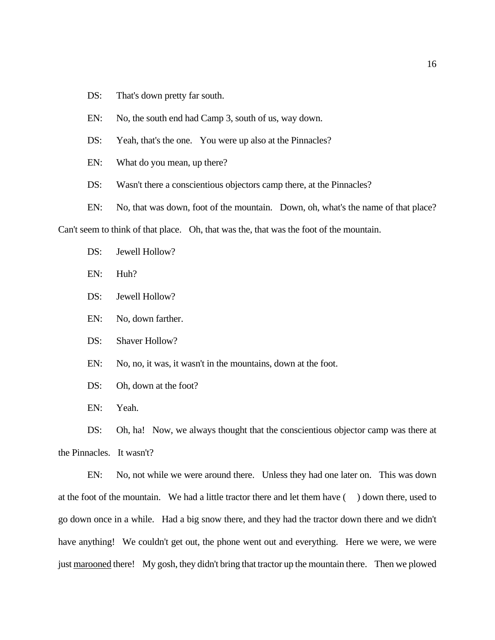- DS: That's down pretty far south.
- EN: No, the south end had Camp 3, south of us, way down.
- DS: Yeah, that's the one. You were up also at the Pinnacles?
- EN: What do you mean, up there?
- DS: Wasn't there a conscientious objectors camp there, at the Pinnacles?
- EN: No, that was down, foot of the mountain. Down, oh, what's the name of that place?

Can't seem to think of that place. Oh, that was the, that was the foot of the mountain.

- DS: Jewell Hollow?
- EN: Huh?
- DS: Jewell Hollow?
- EN: No, down farther.
- DS: Shaver Hollow?
- EN: No, no, it was, it wasn't in the mountains, down at the foot.
- DS: Oh, down at the foot?
- EN: Yeah.

DS: Oh, ha! Now, we always thought that the conscientious objector camp was there at the Pinnacles. It wasn't?

EN: No, not while we were around there. Unless they had one later on. This was down at the foot of the mountain. We had a little tractor there and let them have ( ) down there, used to go down once in a while. Had a big snow there, and they had the tractor down there and we didn't have anything! We couldn't get out, the phone went out and everything. Here we were, we were just marooned there! My gosh, they didn't bring that tractor up the mountain there. Then we plowed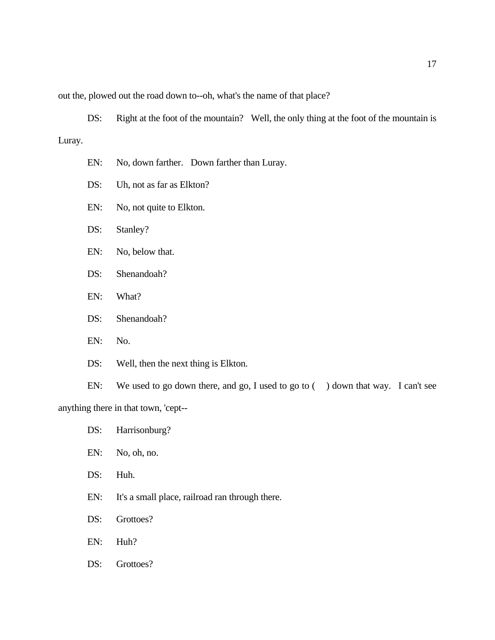out the, plowed out the road down to--oh, what's the name of that place?

DS: Right at the foot of the mountain? Well, the only thing at the foot of the mountain is Luray.

- EN: No, down farther. Down farther than Luray.
- DS: Uh, not as far as Elkton?
- EN: No, not quite to Elkton.
- DS: Stanley?
- EN: No, below that.
- DS: Shenandoah?
- EN: What?
- DS: Shenandoah?
- EN: No.
- DS: Well, then the next thing is Elkton.

EN: We used to go down there, and go, I used to go to ( ) down that way. I can't see anything there in that town, 'cept--

- DS: Harrisonburg?
- EN: No, oh, no.
- DS: Huh.
- EN: It's a small place, railroad ran through there.
- DS: Grottoes?
- EN: Huh?
- DS: Grottoes?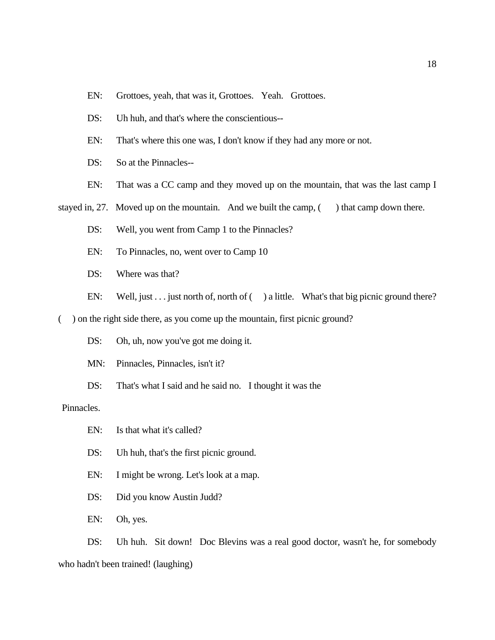- EN: Grottoes, yeah, that was it, Grottoes. Yeah. Grottoes.
- DS: Uh huh, and that's where the conscientious--
- EN: That's where this one was, I don't know if they had any more or not.
- DS: So at the Pinnacles--
- EN: That was a CC camp and they moved up on the mountain, that was the last camp I

stayed in, 27. Moved up on the mountain. And we built the camp,  $($ ) that camp down there.

- DS: Well, you went from Camp 1 to the Pinnacles?
- EN: To Pinnacles, no, went over to Camp 10
- DS: Where was that?
- EN: Well, just  $\ldots$  just north of, north of ( ) a little. What's that big picnic ground there?

() on the right side there, as you come up the mountain, first picnic ground?

- DS: Oh, uh, now you've got me doing it.
- MN: Pinnacles, Pinnacles, isn't it?
- DS: That's what I said and he said no. I thought it was the

### Pinnacles.

- EN: Is that what it's called?
- DS: Uh huh, that's the first picnic ground.
- EN: I might be wrong. Let's look at a map.
- DS: Did you know Austin Judd?
- EN: Oh, yes.

DS: Uh huh. Sit down! Doc Blevins was a real good doctor, wasn't he, for somebody who hadn't been trained! (laughing)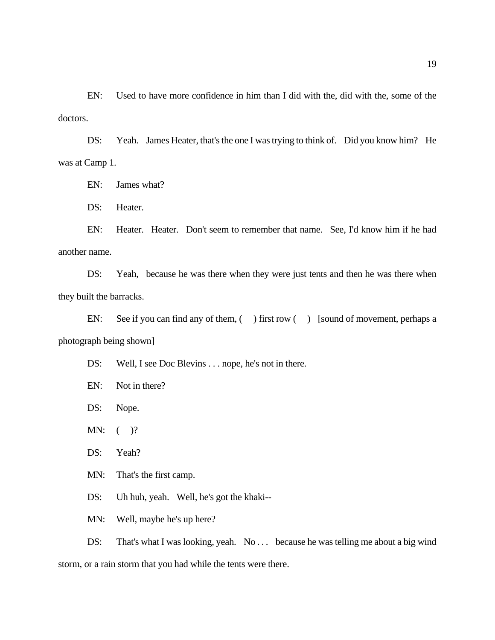EN: Used to have more confidence in him than I did with the, did with the, some of the doctors.

DS: Yeah. James Heater, that's the one I was trying to think of. Did you know him? He was at Camp 1.

EN: James what?

DS: Heater.

EN: Heater. Heater. Don't seem to remember that name. See, I'd know him if he had another name.

DS: Yeah, because he was there when they were just tents and then he was there when they built the barracks.

EN: See if you can find any of them, () first row () [sound of movement, perhaps a photograph being shown]

DS: Well, I see Doc Blevins . . . nope, he's not in there.

EN: Not in there?

DS: Nope.

MN:  $($   $)$ ?

DS: Yeah?

MN: That's the first camp.

DS: Uh huh, yeah. Well, he's got the khaki--

MN: Well, maybe he's up here?

DS: That's what I was looking, yeah. No . . . because he was telling me about a big wind storm, or a rain storm that you had while the tents were there.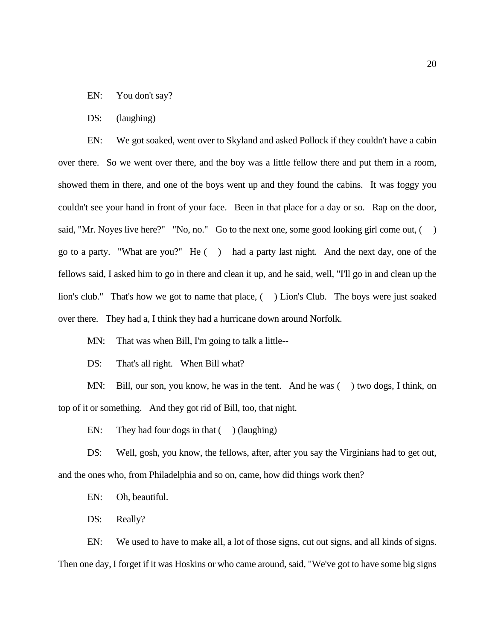EN: You don't say?

#### DS: (laughing)

EN: We got soaked, went over to Skyland and asked Pollock if they couldn't have a cabin over there. So we went over there, and the boy was a little fellow there and put them in a room, showed them in there, and one of the boys went up and they found the cabins. It was foggy you couldn't see your hand in front of your face. Been in that place for a day or so. Rap on the door, said, "Mr. Noyes live here?" "No, no." Go to the next one, some good looking girl come out, () go to a party. "What are you?" He () had a party last night. And the next day, one of the fellows said, I asked him to go in there and clean it up, and he said, well, "I'll go in and clean up the lion's club." That's how we got to name that place, ( ) Lion's Club. The boys were just soaked over there. They had a, I think they had a hurricane down around Norfolk.

MN: That was when Bill, I'm going to talk a little--

DS: That's all right. When Bill what?

MN: Bill, our son, you know, he was in the tent. And he was () two dogs, I think, on top of it or something. And they got rid of Bill, too, that night.

EN: They had four dogs in that  $($   $)$  (laughing)

DS: Well, gosh, you know, the fellows, after, after you say the Virginians had to get out, and the ones who, from Philadelphia and so on, came, how did things work then?

EN: Oh, beautiful.

DS: Really?

EN: We used to have to make all, a lot of those signs, cut out signs, and all kinds of signs. Then one day, I forget if it was Hoskins or who came around, said, "We've got to have some big signs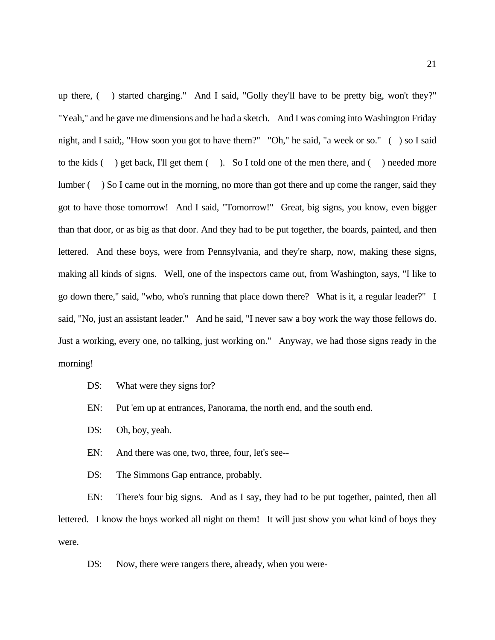up there, ( ) started charging." And I said, "Golly they'll have to be pretty big, won't they?" "Yeah," and he gave me dimensions and he had a sketch. And I was coming into Washington Friday night, and I said;, "How soon you got to have them?" "Oh," he said, "a week or so." ( ) so I said to the kids ( ) get back, I'll get them ( ). So I told one of the men there, and ( ) needed more lumber ( ) So I came out in the morning, no more than got there and up come the ranger, said they got to have those tomorrow! And I said, "Tomorrow!" Great, big signs, you know, even bigger than that door, or as big as that door. And they had to be put together, the boards, painted, and then lettered. And these boys, were from Pennsylvania, and they're sharp, now, making these signs, making all kinds of signs. Well, one of the inspectors came out, from Washington, says, "I like to go down there," said, "who, who's running that place down there? What is it, a regular leader?" I said, "No, just an assistant leader." And he said, "I never saw a boy work the way those fellows do. Just a working, every one, no talking, just working on." Anyway, we had those signs ready in the morning!

DS: What were they signs for?

EN: Put 'em up at entrances, Panorama, the north end, and the south end.

DS: Oh, boy, yeah.

EN: And there was one, two, three, four, let's see--

DS: The Simmons Gap entrance, probably.

EN: There's four big signs. And as I say, they had to be put together, painted, then all lettered. I know the boys worked all night on them! It will just show you what kind of boys they were.

DS: Now, there were rangers there, already, when you were-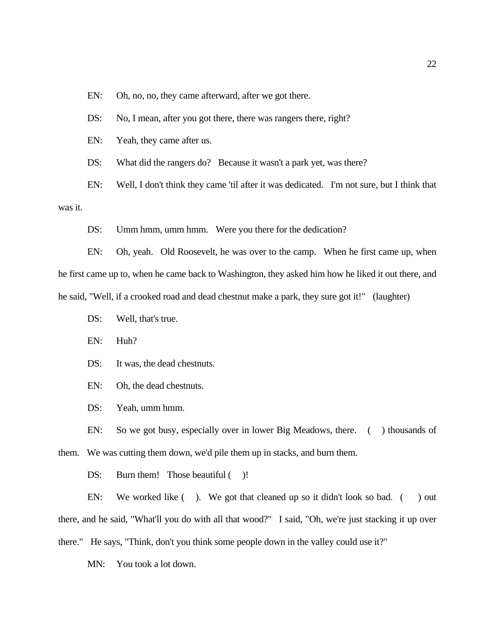EN: Oh, no, no, they came afterward, after we got there.

DS: No, I mean, after you got there, there was rangers there, right?

EN: Yeah, they came after us.

DS: What did the rangers do? Because it wasn't a park yet, was there?

EN: Well, I don't think they came 'til after it was dedicated. I'm not sure, but I think that was it.

DS: Umm hmm, umm hmm. Were you there for the dedication?

EN: Oh, yeah. Old Roosevelt, he was over to the camp. When he first came up, when he first came up to, when he came back to Washington, they asked him how he liked it out there, and he said, "Well, if a crooked road and dead chestnut make a park, they sure got it!" (laughter)

DS: Well, that's true.

EN: Huh?

DS: It was, the dead chestnuts.

EN: Oh, the dead chestnuts.

DS: Yeah, umm hmm.

EN: So we got busy, especially over in lower Big Meadows, there. ( ) thousands of them. We was cutting them down, we'd pile them up in stacks, and burn them.

DS: Burn them! Those beautiful ()!

EN: We worked like (). We got that cleaned up so it didn't look so bad. () out there, and he said, "What'll you do with all that wood?" I said, "Oh, we're just stacking it up over there." He says, "Think, don't you think some people down in the valley could use it?"

MN: You took a lot down.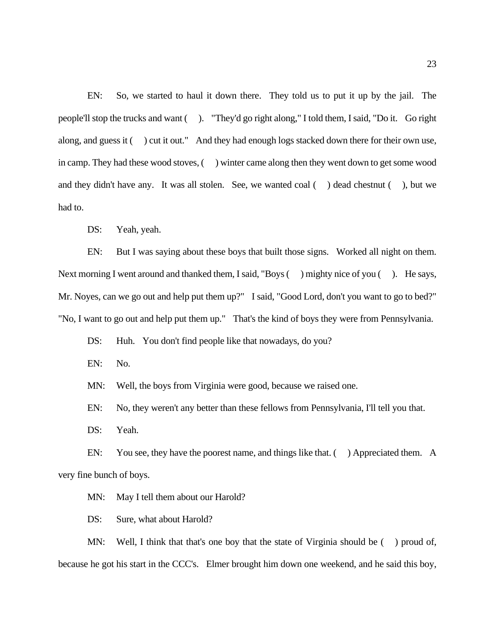EN: So, we started to haul it down there. They told us to put it up by the jail. The people'll stop the trucks and want ( ). "They'd go right along," I told them, I said, "Do it. Go right along, and guess it () cut it out." And they had enough logs stacked down there for their own use, in camp. They had these wood stoves, ( ) winter came along then they went down to get some wood and they didn't have any. It was all stolen. See, we wanted coal ( ) dead chestnut ( ), but we had to.

DS: Yeah, yeah.

EN: But I was saying about these boys that built those signs. Worked all night on them. Next morning I went around and thanked them, I said, "Boys () mighty nice of you (). He says, Mr. Noyes, can we go out and help put them up?" I said, "Good Lord, don't you want to go to bed?" "No, I want to go out and help put them up." That's the kind of boys they were from Pennsylvania.

DS: Huh. You don't find people like that nowadays, do you?

EN: No.

MN: Well, the boys from Virginia were good, because we raised one.

EN: No, they weren't any better than these fellows from Pennsylvania, I'll tell you that.

DS: Yeah.

EN: You see, they have the poorest name, and things like that. () Appreciated them. A very fine bunch of boys.

MN: May I tell them about our Harold?

DS: Sure, what about Harold?

MN: Well, I think that that's one boy that the state of Virginia should be  $($ ) proud of, because he got his start in the CCC's. Elmer brought him down one weekend, and he said this boy,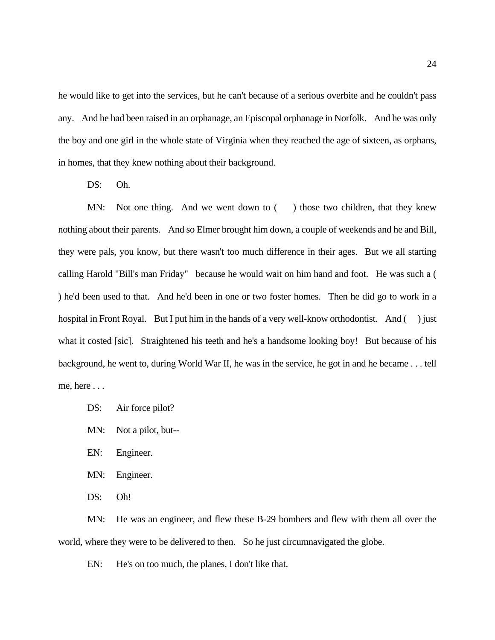he would like to get into the services, but he can't because of a serious overbite and he couldn't pass any. And he had been raised in an orphanage, an Episcopal orphanage in Norfolk. And he was only the boy and one girl in the whole state of Virginia when they reached the age of sixteen, as orphans, in homes, that they knew nothing about their background.

DS: Oh.

MN: Not one thing. And we went down to () those two children, that they knew nothing about their parents. And so Elmer brought him down, a couple of weekends and he and Bill, they were pals, you know, but there wasn't too much difference in their ages. But we all starting calling Harold "Bill's man Friday" because he would wait on him hand and foot. He was such a ( ) he'd been used to that. And he'd been in one or two foster homes. Then he did go to work in a hospital in Front Royal. But I put him in the hands of a very well-know orthodontist. And () just what it costed [sic]. Straightened his teeth and he's a handsome looking boy! But because of his background, he went to, during World War II, he was in the service, he got in and he became . . . tell me, here . . .

- DS: Air force pilot?
- MN: Not a pilot, but--
- EN: Engineer.
- MN: Engineer.
- DS: Oh!

MN: He was an engineer, and flew these B-29 bombers and flew with them all over the world, where they were to be delivered to then. So he just circumnavigated the globe.

EN: He's on too much, the planes, I don't like that.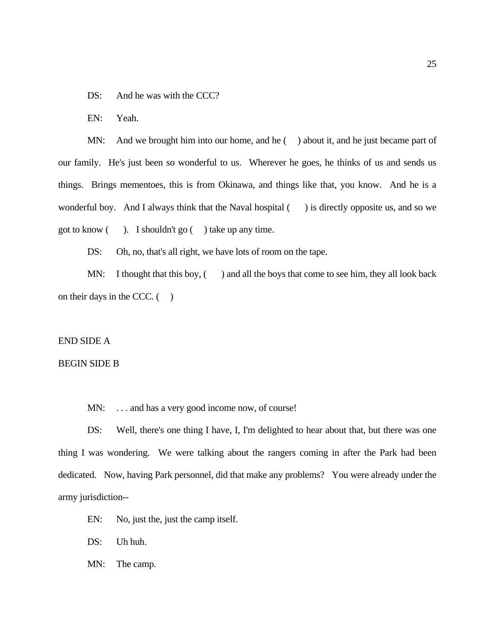DS: And he was with the CCC?

EN: Yeah.

MN: And we brought him into our home, and he () about it, and he just became part of our family. He's just been so wonderful to us. Wherever he goes, he thinks of us and sends us things. Brings mementoes, this is from Okinawa, and things like that, you know. And he is a wonderful boy. And I always think that the Naval hospital  $($ ) is directly opposite us, and so we got to know ( ). I shouldn't go ( ) take up any time.

DS: Oh, no, that's all right, we have lots of room on the tape.

MN: I thought that this boy,  $($  ) and all the boys that come to see him, they all look back on their days in the CCC.  $($ )

#### END SIDE A

## BEGIN SIDE B

MN: ... and has a very good income now, of course!

DS: Well, there's one thing I have, I, I'm delighted to hear about that, but there was one thing I was wondering. We were talking about the rangers coming in after the Park had been dedicated. Now, having Park personnel, did that make any problems? You were already under the army jurisdiction--

- EN: No, just the, just the camp itself.
- DS: Uh huh.
- MN: The camp.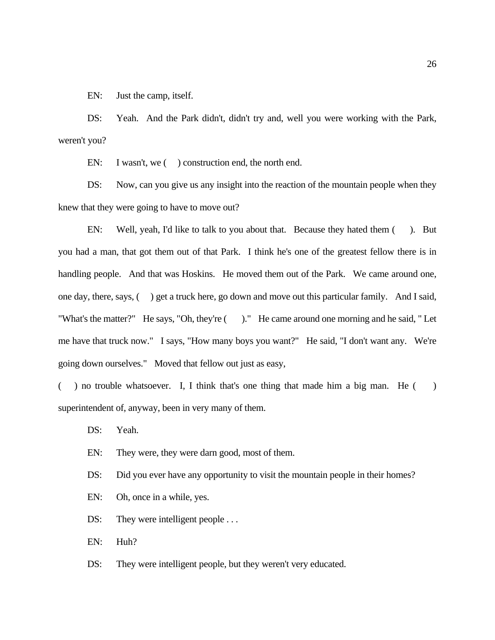EN: Just the camp, itself.

DS: Yeah. And the Park didn't, didn't try and, well you were working with the Park, weren't you?

EN: I wasn't, we () construction end, the north end.

DS: Now, can you give us any insight into the reaction of the mountain people when they knew that they were going to have to move out?

EN: Well, yeah, I'd like to talk to you about that. Because they hated them ( ). But you had a man, that got them out of that Park. I think he's one of the greatest fellow there is in handling people. And that was Hoskins. He moved them out of the Park. We came around one, one day, there, says, ( ) get a truck here, go down and move out this particular family. And I said, "What's the matter?" He says, "Oh, they're ( )." He came around one morning and he said, " Let me have that truck now." I says, "How many boys you want?" He said, "I don't want any. We're going down ourselves." Moved that fellow out just as easy,

( ) no trouble whatsoever. I, I think that's one thing that made him a big man. He ( ) superintendent of, anyway, been in very many of them.

DS: Yeah.

- EN: They were, they were darn good, most of them.
- DS: Did you ever have any opportunity to visit the mountain people in their homes?
- EN: Oh, once in a while, yes.
- DS: They were intelligent people ...

EN: Huh?

DS: They were intelligent people, but they weren't very educated.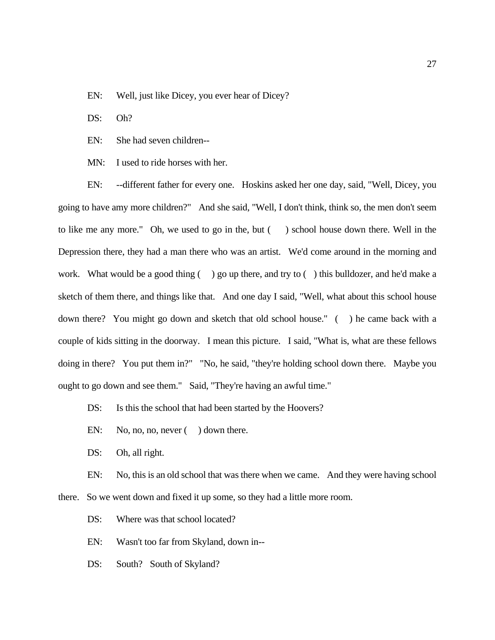EN: Well, just like Dicey, you ever hear of Dicey?

DS: Oh?

EN: She had seven children--

MN: I used to ride horses with her.

EN: --different father for every one. Hoskins asked her one day, said, "Well, Dicey, you going to have amy more children?" And she said, "Well, I don't think, think so, the men don't seem to like me any more." Oh, we used to go in the, but () school house down there. Well in the Depression there, they had a man there who was an artist. We'd come around in the morning and work. What would be a good thing  $($ ) go up there, and try to  $($ ) this bulldozer, and he'd make a sketch of them there, and things like that. And one day I said, "Well, what about this school house down there? You might go down and sketch that old school house." ( ) he came back with a couple of kids sitting in the doorway. I mean this picture. I said, "What is, what are these fellows doing in there? You put them in?" "No, he said, "they're holding school down there. Maybe you ought to go down and see them." Said, "They're having an awful time."

DS: Is this the school that had been started by the Hoovers?

EN: No, no, no, never () down there.

DS: Oh, all right.

EN: No, this is an old school that was there when we came. And they were having school there. So we went down and fixed it up some, so they had a little more room.

DS: Where was that school located?

EN: Wasn't too far from Skyland, down in--

DS: South? South of Skyland?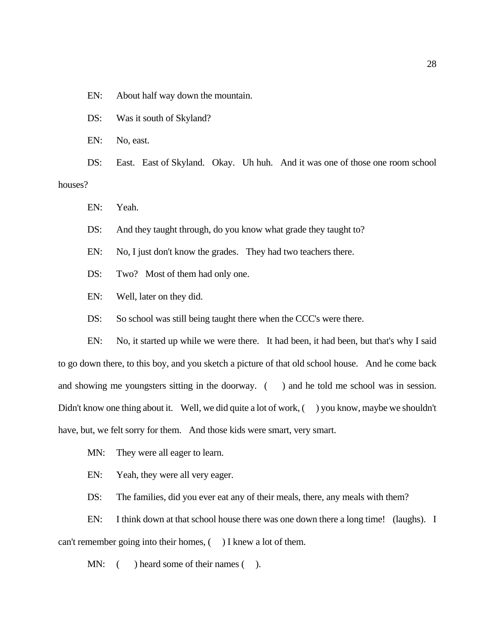EN: About half way down the mountain.

DS: Was it south of Skyland?

EN: No, east.

DS: East. East of Skyland. Okay. Uh huh. And it was one of those one room school houses?

EN: Yeah.

DS: And they taught through, do you know what grade they taught to?

EN: No, I just don't know the grades. They had two teachers there.

DS: Two? Most of them had only one.

EN: Well, later on they did.

DS: So school was still being taught there when the CCC's were there.

EN: No, it started up while we were there. It had been, it had been, but that's why I said to go down there, to this boy, and you sketch a picture of that old school house. And he come back and showing me youngsters sitting in the doorway. () and he told me school was in session. Didn't know one thing about it. Well, we did quite a lot of work, () you know, maybe we shouldn't have, but, we felt sorry for them. And those kids were smart, very smart.

MN: They were all eager to learn.

EN: Yeah, they were all very eager.

DS: The families, did you ever eat any of their meals, there, any meals with them?

EN: I think down at that school house there was one down there a long time! (laughs). I can't remember going into their homes,  $($ ) I knew a lot of them.

MN: () heard some of their names ().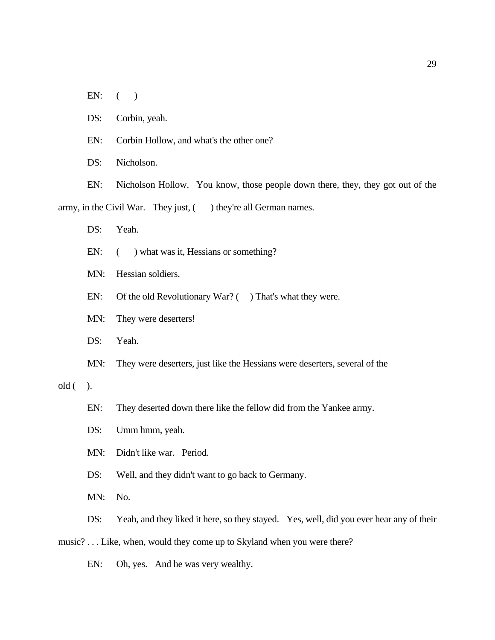EN:  $($ 

DS: Corbin, yeah.

EN: Corbin Hollow, and what's the other one?

DS: Nicholson.

EN: Nicholson Hollow. You know, those people down there, they, they got out of the army, in the Civil War. They just, () they're all German names.

DS: Yeah.

EN:  $($  ) what was it, Hessians or something?

MN: Hessian soldiers.

EN: Of the old Revolutionary War? () That's what they were.

MN: They were deserters!

DS: Yeah.

MN: They were deserters, just like the Hessians were deserters, several of the

 $old($ ).

EN: They deserted down there like the fellow did from the Yankee army.

DS: Umm hmm, yeah.

MN: Didn't like war. Period.

DS: Well, and they didn't want to go back to Germany.

MN: No.

DS: Yeah, and they liked it here, so they stayed. Yes, well, did you ever hear any of their

music? . . . Like, when, would they come up to Skyland when you were there?

EN: Oh, yes. And he was very wealthy.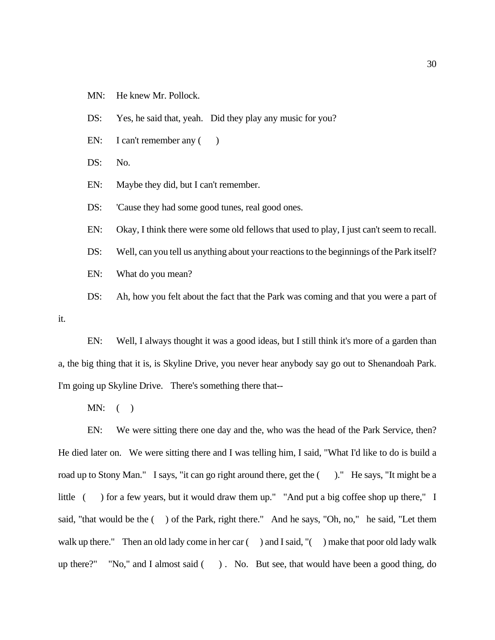MN: He knew Mr. Pollock.

DS: Yes, he said that, yeah. Did they play any music for you?

EN: I can't remember any  $($ )

DS: No.

EN: Maybe they did, but I can't remember.

DS: Cause they had some good tunes, real good ones.

EN: Okay, I think there were some old fellows that used to play, I just can't seem to recall.

DS: Well, can you tell us anything about your reactions to the beginnings of the Park itself?

EN: What do you mean?

DS: Ah, how you felt about the fact that the Park was coming and that you were a part of

EN: Well, I always thought it was a good ideas, but I still think it's more of a garden than a, the big thing that it is, is Skyline Drive, you never hear anybody say go out to Shenandoah Park. I'm going up Skyline Drive. There's something there that--

 $MN:$  ( )

it.

EN: We were sitting there one day and the, who was the head of the Park Service, then? He died later on. We were sitting there and I was telling him, I said, "What I'd like to do is build a road up to Stony Man." I says, "it can go right around there, get the  $($ )." He says, "It might be a little ( ) for a few years, but it would draw them up." "And put a big coffee shop up there," I said, "that would be the  $($ ) of the Park, right there." And he says, "Oh, no," he said, "Let them walk up there." Then an old lady come in her car () and I said, "() make that poor old lady walk up there?" "No," and I almost said ( ) . No. But see, that would have been a good thing, do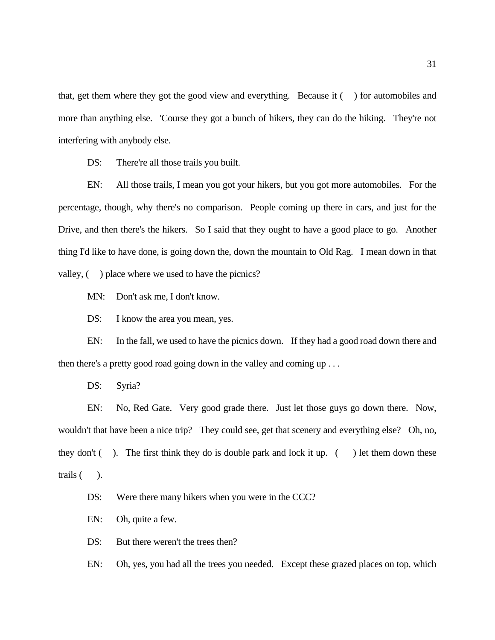that, get them where they got the good view and everything. Because it ( ) for automobiles and more than anything else. 'Course they got a bunch of hikers, they can do the hiking. They're not interfering with anybody else.

DS: There're all those trails you built.

EN: All those trails, I mean you got your hikers, but you got more automobiles. For the percentage, though, why there's no comparison. People coming up there in cars, and just for the Drive, and then there's the hikers. So I said that they ought to have a good place to go. Another thing I'd like to have done, is going down the, down the mountain to Old Rag. I mean down in that valley,  $($ ) place where we used to have the picnics?

MN: Don't ask me, I don't know.

DS: I know the area you mean, yes.

EN: In the fall, we used to have the picnics down. If they had a good road down there and then there's a pretty good road going down in the valley and coming up . . .

DS: Syria?

EN: No, Red Gate. Very good grade there. Just let those guys go down there. Now, wouldn't that have been a nice trip? They could see, get that scenery and everything else? Oh, no, they don't  $($ ). The first think they do is double park and lock it up.  $($ ) let them down these trails ( ).

DS: Were there many hikers when you were in the CCC?

EN: Oh, quite a few.

DS: But there weren't the trees then?

EN: Oh, yes, you had all the trees you needed. Except these grazed places on top, which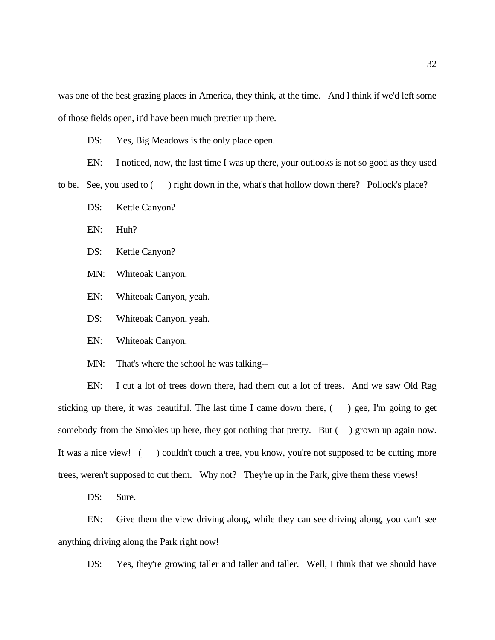was one of the best grazing places in America, they think, at the time. And I think if we'd left some of those fields open, it'd have been much prettier up there.

DS: Yes, Big Meadows is the only place open.

EN: I noticed, now, the last time I was up there, your outlooks is not so good as they used

to be. See, you used to ( ) right down in the, what's that hollow down there? Pollock's place?

DS: Kettle Canyon?

EN: Huh?

DS: Kettle Canyon?

MN: Whiteoak Canyon.

EN: Whiteoak Canyon, yeah.

DS: Whiteoak Canyon, yeah.

EN: Whiteoak Canyon.

MN: That's where the school he was talking--

EN: I cut a lot of trees down there, had them cut a lot of trees. And we saw Old Rag sticking up there, it was beautiful. The last time I came down there,  $($ ) gee, I'm going to get somebody from the Smokies up here, they got nothing that pretty. But () grown up again now. It was a nice view! () couldn't touch a tree, you know, you're not supposed to be cutting more trees, weren't supposed to cut them. Why not? They're up in the Park, give them these views!

DS: Sure.

EN: Give them the view driving along, while they can see driving along, you can't see anything driving along the Park right now!

DS: Yes, they're growing taller and taller and taller. Well, I think that we should have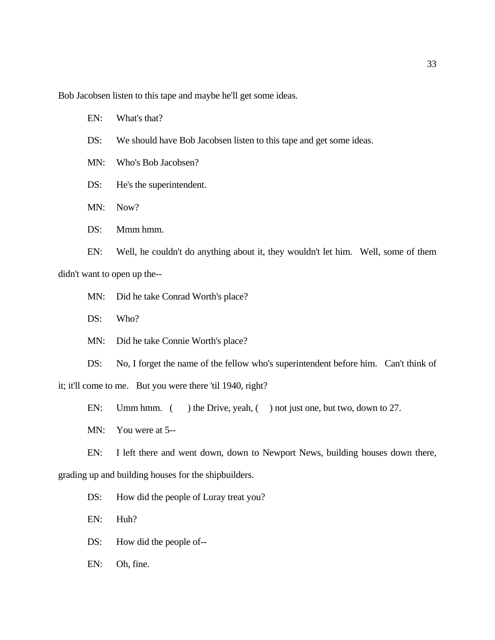Bob Jacobsen listen to this tape and maybe he'll get some ideas.

EN: What's that?

- DS: We should have Bob Jacobsen listen to this tape and get some ideas.
- MN: Who's Bob Jacobsen?
- DS: He's the superintendent.
- MN: Now?
- DS: Mmm hmm.

EN: Well, he couldn't do anything about it, they wouldn't let him. Well, some of them didn't want to open up the--

- MN: Did he take Conrad Worth's place?
- DS: Who?
- MN: Did he take Connie Worth's place?

DS: No, I forget the name of the fellow who's superintendent before him. Can't think of it; it'll come to me. But you were there 'til 1940, right?

EN: Umm hmm. ( ) the Drive, yeah, ( ) not just one, but two, down to 27.

MN: You were at 5--

EN: I left there and went down, down to Newport News, building houses down there, grading up and building houses for the shipbuilders.

DS: How did the people of Luray treat you?

EN: Huh?

- DS: How did the people of--
- EN: Oh, fine.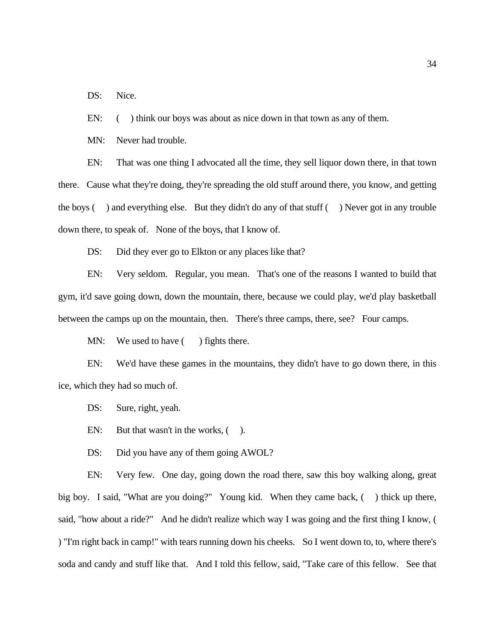DS: Nice.

EN: () think our boys was about as nice down in that town as any of them.

MN: Never had trouble.

EN: That was one thing I advocated all the time, they sell liquor down there, in that town there. Cause what they're doing, they're spreading the old stuff around there, you know, and getting the boys ( ) and everything else. But they didn't do any of that stuff ( ) Never got in any trouble down there, to speak of. None of the boys, that I know of.

DS: Did they ever go to Elkton or any places like that?

EN: Very seldom. Regular, you mean. That's one of the reasons I wanted to build that gym, it'd save going down, down the mountain, there, because we could play, we'd play basketball between the camps up on the mountain, then. There's three camps, there, see? Four camps.

MN: We used to have () fights there.

EN: We'd have these games in the mountains, they didn't have to go down there, in this ice, which they had so much of.

DS: Sure, right, yeah.

EN: But that wasn't in the works,  $($ ).

DS: Did you have any of them going AWOL?

EN: Very few. One day, going down the road there, saw this boy walking along, great big boy. I said, "What are you doing?" Young kid. When they came back, ( ) thick up there, said, "how about a ride?" And he didn't realize which way I was going and the first thing I know, ( ) "I'm right back in camp!" with tears running down his cheeks. So I went down to, to, where there's soda and candy and stuff like that. And I told this fellow, said, "Take care of this fellow. See that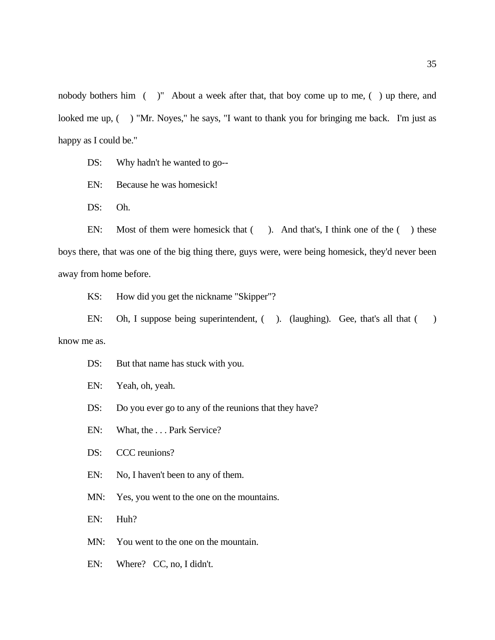nobody bothers him ( )" About a week after that, that boy come up to me, ( ) up there, and looked me up, () "Mr. Noyes," he says, "I want to thank you for bringing me back. I'm just as happy as I could be."

DS: Why hadn't he wanted to go--

EN: Because he was homesick!

DS: Oh.

EN: Most of them were homesick that (). And that's, I think one of the () these boys there, that was one of the big thing there, guys were, were being homesick, they'd never been away from home before.

KS: How did you get the nickname "Skipper"?

EN: Oh, I suppose being superintendent, ( ). (laughing). Gee, that's all that ( ) know me as.

DS: But that name has stuck with you.

EN: Yeah, oh, yeah.

DS: Do you ever go to any of the reunions that they have?

EN: What, the . . . Park Service?

DS: CCC reunions?

EN: No, I haven't been to any of them.

MN: Yes, you went to the one on the mountains.

EN: Huh?

MN: You went to the one on the mountain.

EN: Where? CC, no, I didn't.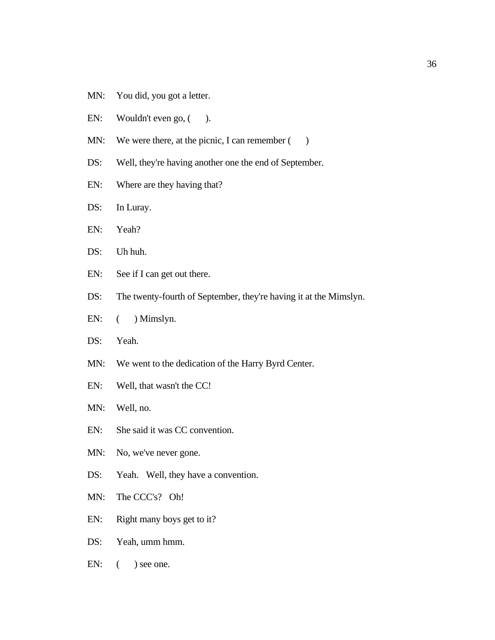- MN: You did, you got a letter.
- EN: Wouldn't even go,  $($ ).
- MN: We were there, at the picnic, I can remember  $($ )
- DS: Well, they're having another one the end of September.
- EN: Where are they having that?
- DS: In Luray.
- EN: Yeah?
- DS: Uh huh.
- EN: See if I can get out there.
- DS: The twenty-fourth of September, they're having it at the Mimslyn.
- EN:  $($  ) Mimslyn.
- DS: Yeah.
- MN: We went to the dedication of the Harry Byrd Center.
- EN: Well, that wasn't the CC!
- MN: Well, no.
- EN: She said it was CC convention.
- MN: No, we've never gone.
- DS: Yeah. Well, they have a convention.
- MN: The CCC's? Oh!
- EN: Right many boys get to it?
- DS: Yeah, umm hmm.
- $EN:$  ( ) see one.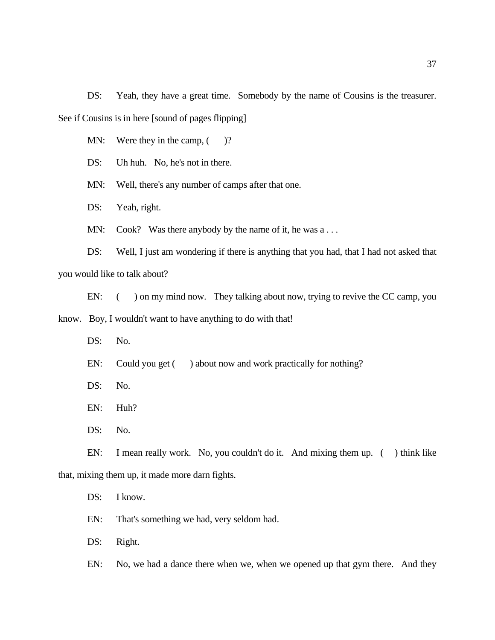DS: Yeah, they have a great time. Somebody by the name of Cousins is the treasurer. See if Cousins is in here [sound of pages flipping]

MN: Were they in the camp,  $($ )?

DS: Uh huh. No, he's not in there.

MN: Well, there's any number of camps after that one.

DS: Yeah, right.

MN: Cook? Was there anybody by the name of it, he was a ...

DS: Well, I just am wondering if there is anything that you had, that I had not asked that you would like to talk about?

EN: ( ) on my mind now. They talking about now, trying to revive the CC camp, you know. Boy, I wouldn't want to have anything to do with that!

DS: No.

EN: Could you get () about now and work practically for nothing?

DS: No.

EN: Huh?

DS: No.

EN: I mean really work. No, you couldn't do it. And mixing them up. ( ) think like that, mixing them up, it made more darn fights.

DS: I know.

EN: That's something we had, very seldom had.

DS: Right.

EN: No, we had a dance there when we, when we opened up that gym there. And they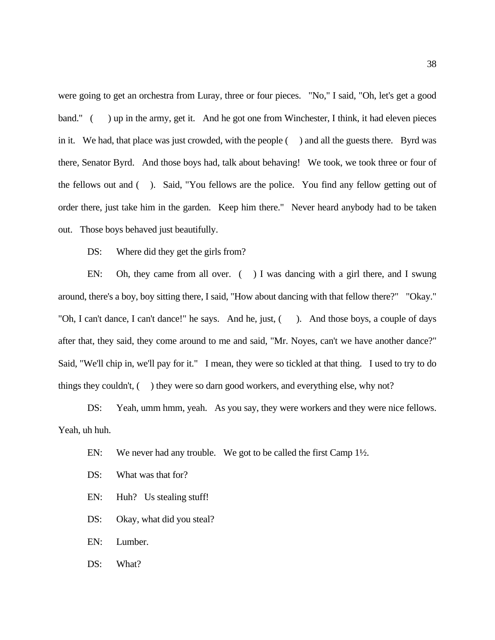were going to get an orchestra from Luray, three or four pieces. "No," I said, "Oh, let's get a good band." ( ) up in the army, get it. And he got one from Winchester, I think, it had eleven pieces in it. We had, that place was just crowded, with the people ( ) and all the guests there. Byrd was there, Senator Byrd. And those boys had, talk about behaving! We took, we took three or four of the fellows out and ( ). Said, "You fellows are the police. You find any fellow getting out of order there, just take him in the garden. Keep him there." Never heard anybody had to be taken out. Those boys behaved just beautifully.

DS: Where did they get the girls from?

EN: Oh, they came from all over. ( ) I was dancing with a girl there, and I swung around, there's a boy, boy sitting there, I said, "How about dancing with that fellow there?" "Okay." "Oh, I can't dance, I can't dance!" he says. And he, just, (). And those boys, a couple of days after that, they said, they come around to me and said, "Mr. Noyes, can't we have another dance?" Said, "We'll chip in, we'll pay for it." I mean, they were so tickled at that thing. I used to try to do things they couldn't, ( ) they were so darn good workers, and everything else, why not?

DS: Yeah, umm hmm, yeah. As you say, they were workers and they were nice fellows. Yeah, uh huh.

- EN: We never had any trouble. We got to be called the first Camp 1<sup>1</sup>/<sub>2</sub>.
- DS: What was that for?
- EN: Huh? Us stealing stuff!
- DS: Okay, what did you steal?
- EN: Lumber.
- DS: What?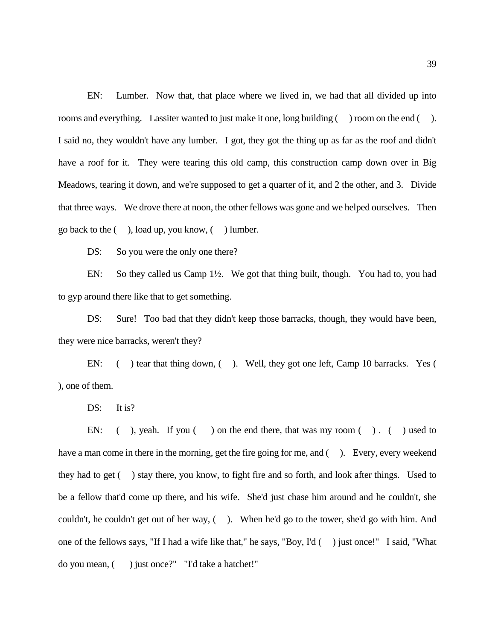EN: Lumber. Now that, that place where we lived in, we had that all divided up into rooms and everything. Lassiter wanted to just make it one, long building () room on the end (). I said no, they wouldn't have any lumber. I got, they got the thing up as far as the roof and didn't have a roof for it. They were tearing this old camp, this construction camp down over in Big Meadows, tearing it down, and we're supposed to get a quarter of it, and 2 the other, and 3. Divide that three ways. We drove there at noon, the other fellows was gone and we helped ourselves. Then go back to the ( ), load up, you know, ( ) lumber.

DS: So you were the only one there?

EN: So they called us Camp 1½. We got that thing built, though. You had to, you had to gyp around there like that to get something.

DS: Sure! Too bad that they didn't keep those barracks, though, they would have been, they were nice barracks, weren't they?

EN: ( ) tear that thing down, ( ). Well, they got one left, Camp 10 barracks. Yes ( ), one of them.

DS: It is?

EN: ( ), yeah. If you ( ) on the end there, that was my room ( ). ( ) used to have a man come in there in the morning, get the fire going for me, and (). Every, every weekend they had to get ( ) stay there, you know, to fight fire and so forth, and look after things. Used to be a fellow that'd come up there, and his wife. She'd just chase him around and he couldn't, she couldn't, he couldn't get out of her way, ( ). When he'd go to the tower, she'd go with him. And one of the fellows says, "If I had a wife like that," he says, "Boy, I'd ( ) just once!" I said, "What do you mean, ( ) just once?" "I'd take a hatchet!"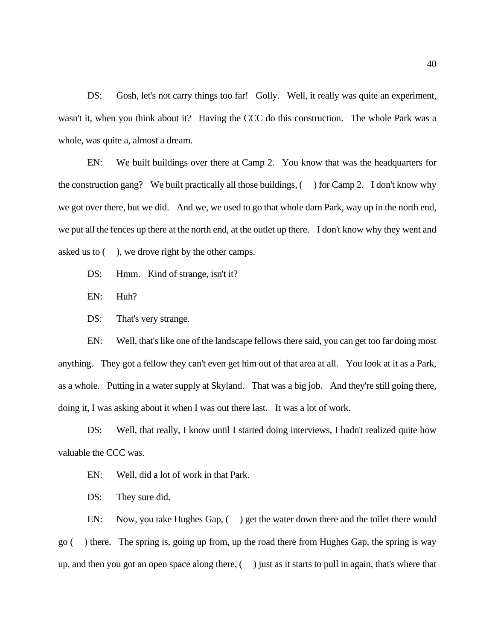DS: Gosh, let's not carry things too far! Golly. Well, it really was quite an experiment, wasn't it, when you think about it? Having the CCC do this construction. The whole Park was a whole, was quite a, almost a dream.

EN: We built buildings over there at Camp 2. You know that was the headquarters for the construction gang? We built practically all those buildings,  $($ ) for Camp 2. I don't know why we got over there, but we did. And we, we used to go that whole darn Park, way up in the north end, we put all the fences up there at the north end, at the outlet up there. I don't know why they went and asked us to ( ), we drove right by the other camps.

DS: Hmm. Kind of strange, isn't it?

EN: Huh?

DS: That's very strange.

EN: Well, that's like one of the landscape fellows there said, you can get too far doing most anything. They got a fellow they can't even get him out of that area at all. You look at it as a Park, as a whole. Putting in a water supply at Skyland. That was a big job. And they're still going there, doing it, I was asking about it when I was out there last. It was a lot of work.

DS: Well, that really, I know until I started doing interviews, I hadn't realized quite how valuable the CCC was.

EN: Well, did a lot of work in that Park.

DS: They sure did.

EN: Now, you take Hughes Gap, () get the water down there and the toilet there would go ( ) there. The spring is, going up from, up the road there from Hughes Gap, the spring is way up, and then you got an open space along there,  $($ ) just as it starts to pull in again, that's where that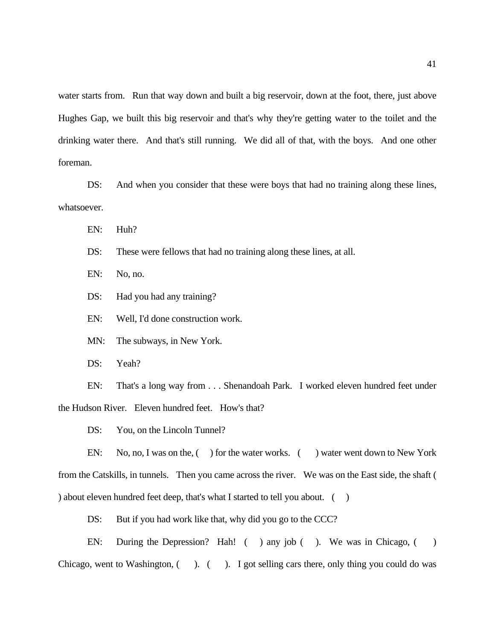water starts from. Run that way down and built a big reservoir, down at the foot, there, just above Hughes Gap, we built this big reservoir and that's why they're getting water to the toilet and the drinking water there. And that's still running. We did all of that, with the boys. And one other foreman.

DS: And when you consider that these were boys that had no training along these lines, whatsoever.

EN: Huh?

DS: These were fellows that had no training along these lines, at all.

EN: No, no.

DS: Had you had any training?

EN: Well, I'd done construction work.

MN: The subways, in New York.

DS: Yeah?

EN: That's a long way from . . . Shenandoah Park. I worked eleven hundred feet under the Hudson River. Eleven hundred feet. How's that?

DS: You, on the Lincoln Tunnel?

EN: No, no, I was on the, () for the water works. () water went down to New York from the Catskills, in tunnels. Then you came across the river. We was on the East side, the shaft ( ) about eleven hundred feet deep, that's what I started to tell you about.  $( )$ 

DS: But if you had work like that, why did you go to the CCC?

EN: During the Depression? Hah! ( ) any job ( ). We was in Chicago, ( ) Chicago, went to Washington,  $($  ).  $($  ). I got selling cars there, only thing you could do was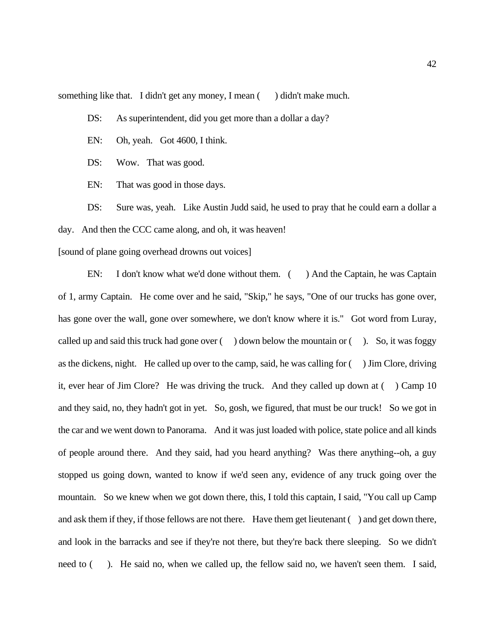something like that. I didn't get any money, I mean () didn't make much.

DS: As superintendent, did you get more than a dollar a day?

EN: Oh, yeah. Got 4600, I think.

DS: Wow. That was good.

EN: That was good in those days.

DS: Sure was, yeah. Like Austin Judd said, he used to pray that he could earn a dollar a day. And then the CCC came along, and oh, it was heaven!

[sound of plane going overhead drowns out voices]

EN: I don't know what we'd done without them. () And the Captain, he was Captain of 1, army Captain. He come over and he said, "Skip," he says, "One of our trucks has gone over, has gone over the wall, gone over somewhere, we don't know where it is." Got word from Luray, called up and said this truck had gone over  $($ ) down below the mountain or  $($ ). So, it was foggy as the dickens, night. He called up over to the camp, said, he was calling for ( ) Jim Clore, driving it, ever hear of Jim Clore? He was driving the truck. And they called up down at ( ) Camp 10 and they said, no, they hadn't got in yet. So, gosh, we figured, that must be our truck! So we got in the car and we went down to Panorama. And it was just loaded with police, state police and all kinds of people around there. And they said, had you heard anything? Was there anything--oh, a guy stopped us going down, wanted to know if we'd seen any, evidence of any truck going over the mountain. So we knew when we got down there, this, I told this captain, I said, "You call up Camp and ask them if they, if those fellows are not there. Have them get lieutenant ( ) and get down there, and look in the barracks and see if they're not there, but they're back there sleeping. So we didn't need to (). He said no, when we called up, the fellow said no, we haven't seen them. I said,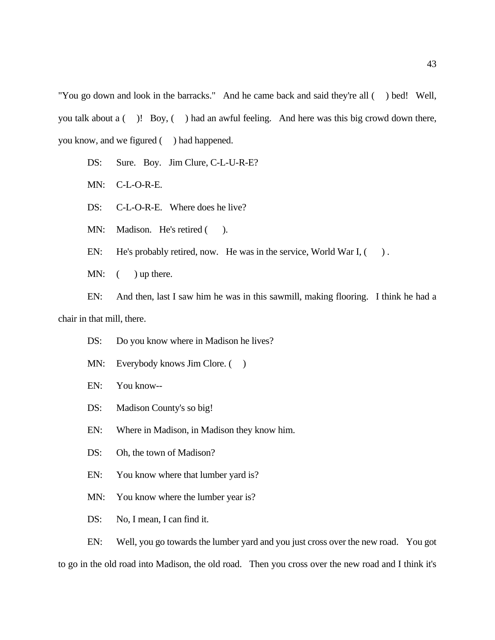"You go down and look in the barracks." And he came back and said they're all ( ) bed! Well, you talk about a ( )! Boy, ( ) had an awful feeling. And here was this big crowd down there, you know, and we figured ( ) had happened.

- DS: Sure. Boy. Jim Clure, C-L-U-R-E?
- MN: C-L-O-R-E.
- DS: C-L-O-R-E. Where does he live?
- MN: Madison. He's retired ().
- EN: He's probably retired, now. He was in the service, World War I,  $($ ).
- MN:  $($  ) up there.

EN: And then, last I saw him he was in this sawmill, making flooring. I think he had a chair in that mill, there.

- DS: Do you know where in Madison he lives?
- MN: Everybody knows Jim Clore. ()
- EN: You know--
- DS: Madison County's so big!
- EN: Where in Madison, in Madison they know him.
- DS: Oh, the town of Madison?
- EN: You know where that lumber yard is?
- MN: You know where the lumber year is?

DS: No, I mean, I can find it.

EN: Well, you go towards the lumber yard and you just cross over the new road. You got to go in the old road into Madison, the old road. Then you cross over the new road and I think it's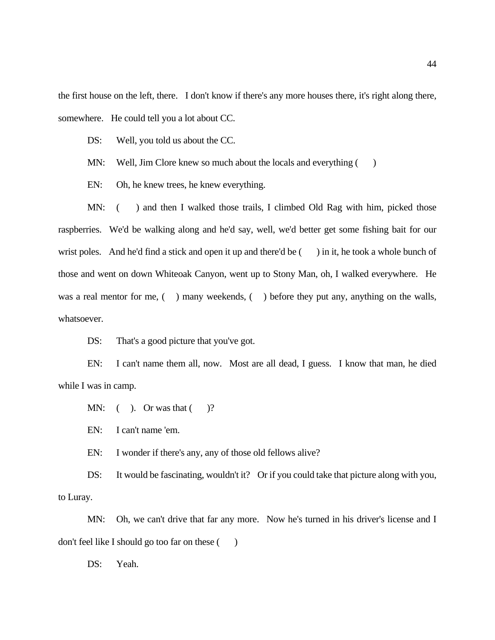the first house on the left, there. I don't know if there's any more houses there, it's right along there, somewhere. He could tell you a lot about CC.

DS: Well, you told us about the CC.

MN: Well, Jim Clore knew so much about the locals and everything ()

EN: Oh, he knew trees, he knew everything.

MN: () and then I walked those trails, I climbed Old Rag with him, picked those raspberries. We'd be walking along and he'd say, well, we'd better get some fishing bait for our wrist poles. And he'd find a stick and open it up and there'd be () in it, he took a whole bunch of those and went on down Whiteoak Canyon, went up to Stony Man, oh, I walked everywhere. He was a real mentor for me, () many weekends, () before they put any, anything on the walls, whatsoever.

DS: That's a good picture that you've got.

EN: I can't name them all, now. Most are all dead, I guess. I know that man, he died while I was in camp.

MN:  $($  ). Or was that  $($  )?

EN: I can't name 'em.

EN: I wonder if there's any, any of those old fellows alive?

DS: It would be fascinating, wouldn't it? Or if you could take that picture along with you, to Luray.

MN: Oh, we can't drive that far any more. Now he's turned in his driver's license and I don't feel like I should go too far on these ()

DS: Yeah.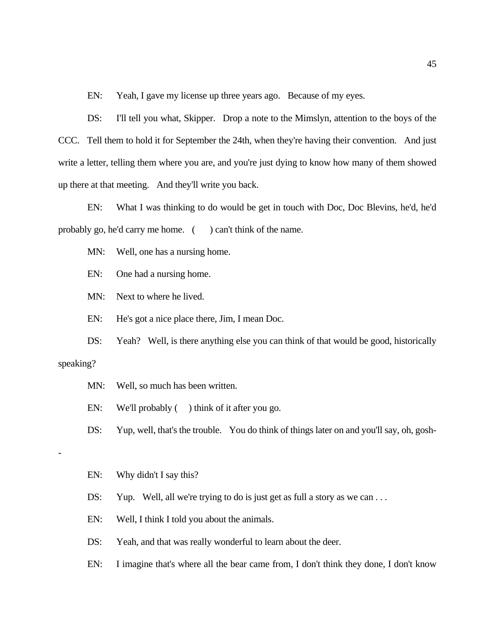EN: Yeah, I gave my license up three years ago. Because of my eyes.

DS: I'll tell you what, Skipper. Drop a note to the Mimslyn, attention to the boys of the CCC. Tell them to hold it for September the 24th, when they're having their convention. And just write a letter, telling them where you are, and you're just dying to know how many of them showed up there at that meeting. And they'll write you back.

EN: What I was thinking to do would be get in touch with Doc, Doc Blevins, he'd, he'd probably go, he'd carry me home. () can't think of the name.

MN: Well, one has a nursing home.

EN: One had a nursing home.

MN: Next to where he lived.

EN: He's got a nice place there, Jim, I mean Doc.

DS: Yeah? Well, is there anything else you can think of that would be good, historically

#### speaking?

-

- MN: Well, so much has been written.
- EN: We'll probably () think of it after you go.
- DS: Yup, well, that's the trouble. You do think of things later on and you'll say, oh, gosh-

#### EN: Why didn't I say this?

- DS: Yup. Well, all we're trying to do is just get as full a story as we can ...
- EN: Well, I think I told you about the animals.
- DS: Yeah, and that was really wonderful to learn about the deer.
- EN: I imagine that's where all the bear came from, I don't think they done, I don't know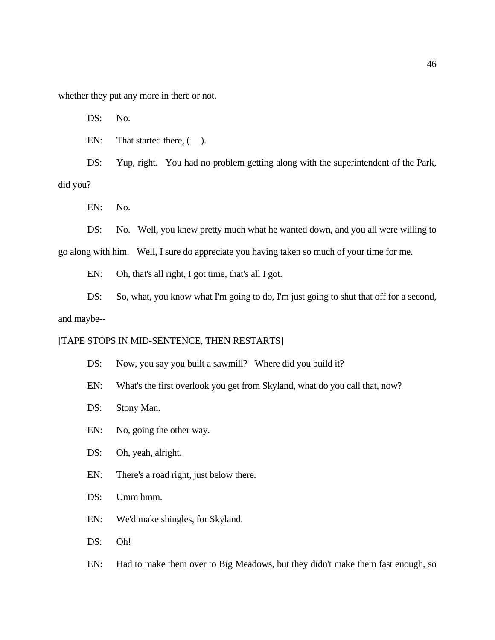whether they put any more in there or not.

DS: No.

EN: That started there,  $($  ).

DS: Yup, right. You had no problem getting along with the superintendent of the Park, did you?

EN: No.

DS: No. Well, you knew pretty much what he wanted down, and you all were willing to

go along with him. Well, I sure do appreciate you having taken so much of your time for me.

EN: Oh, that's all right, I got time, that's all I got.

DS: So, what, you know what I'm going to do, I'm just going to shut that off for a second, and maybe--

## [TAPE STOPS IN MID-SENTENCE, THEN RESTARTS]

DS: Now, you say you built a sawmill? Where did you build it?

- EN: What's the first overlook you get from Skyland, what do you call that, now?
- DS: Stony Man.
- EN: No, going the other way.
- DS: Oh, yeah, alright.
- EN: There's a road right, just below there.
- DS: Umm hmm.
- EN: We'd make shingles, for Skyland.
- DS: Oh!

EN: Had to make them over to Big Meadows, but they didn't make them fast enough, so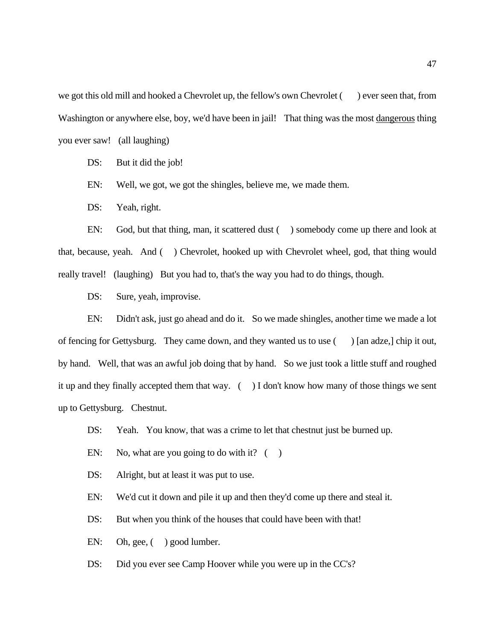we got this old mill and hooked a Chevrolet up, the fellow's own Chevrolet ( ) ever seen that, from Washington or anywhere else, boy, we'd have been in jail! That thing was the most dangerous thing you ever saw! (all laughing)

DS: But it did the job!

EN: Well, we got, we got the shingles, believe me, we made them.

DS: Yeah, right.

EN: God, but that thing, man, it scattered dust () somebody come up there and look at that, because, yeah. And ( ) Chevrolet, hooked up with Chevrolet wheel, god, that thing would really travel! (laughing) But you had to, that's the way you had to do things, though.

DS: Sure, yeah, improvise.

EN: Didn't ask, just go ahead and do it. So we made shingles, another time we made a lot of fencing for Gettysburg. They came down, and they wanted us to use ( ) [an adze,] chip it out, by hand. Well, that was an awful job doing that by hand. So we just took a little stuff and roughed it up and they finally accepted them that way. ( ) I don't know how many of those things we sent up to Gettysburg. Chestnut.

DS: Yeah. You know, that was a crime to let that chestnut just be burned up.

- EN: No, what are you going to do with it?  $($ )
- DS: Alright, but at least it was put to use.

EN: We'd cut it down and pile it up and then they'd come up there and steal it.

DS: But when you think of the houses that could have been with that!

EN: Oh, gee,  $($  ) good lumber.

DS: Did you ever see Camp Hoover while you were up in the CC's?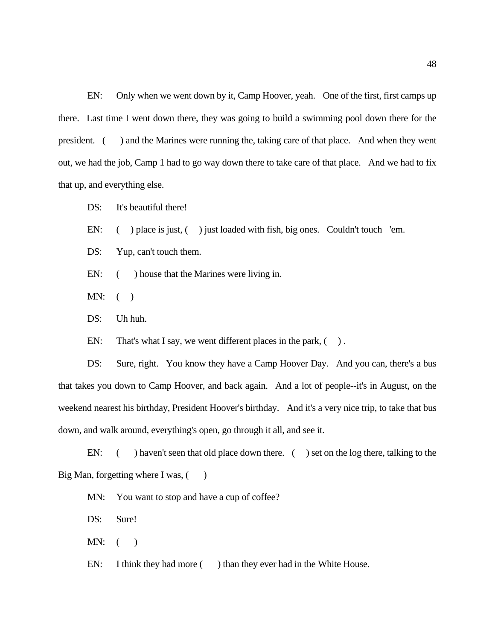EN: Only when we went down by it, Camp Hoover, yeah. One of the first, first camps up there. Last time I went down there, they was going to build a swimming pool down there for the president. ( ) and the Marines were running the, taking care of that place. And when they went out, we had the job, Camp 1 had to go way down there to take care of that place. And we had to fix that up, and everything else.

DS: It's beautiful there!

EN: () place is just, () just loaded with fish, big ones. Couldn't touch 'em.

DS: Yup, can't touch them.

EN:  $($  ) house that the Marines were living in.

 $MN:$  ( )

DS: Uh huh.

EN: That's what I say, we went different places in the park,  $( )$ .

DS: Sure, right. You know they have a Camp Hoover Day. And you can, there's a bus that takes you down to Camp Hoover, and back again. And a lot of people--it's in August, on the weekend nearest his birthday, President Hoover's birthday. And it's a very nice trip, to take that bus down, and walk around, everything's open, go through it all, and see it.

EN: () haven't seen that old place down there. () set on the log there, talking to the Big Man, forgetting where I was,  $($ )

MN: You want to stop and have a cup of coffee?

DS: Sure!

 $MN:$  ( )

EN: I think they had more ( ) than they ever had in the White House.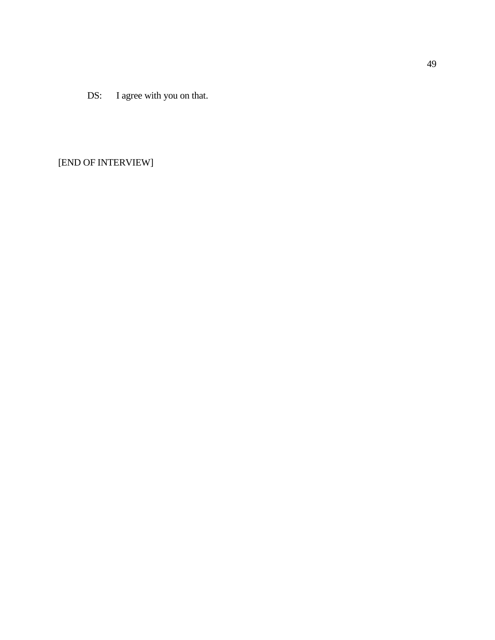DS: I agree with you on that.

[END OF INTERVIEW]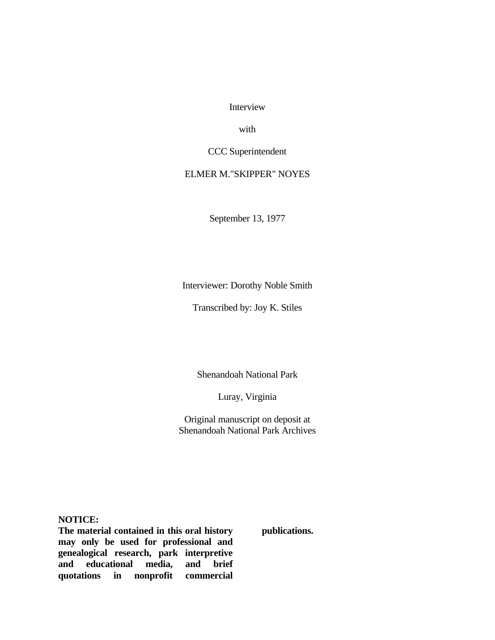Interview

with

CCC Superintendent

# ELMER M."SKIPPER" NOYES

September 13, 1977

Interviewer: Dorothy Noble Smith

Transcribed by: Joy K. Stiles

Shenandoah National Park

Luray, Virginia

Original manuscript on deposit at Shenandoah National Park Archives

**NOTICE:**

**The material contained in this oral history may only be used for professional and genealogical research, park interpretive and educational media, and brief quotations in nonprofit commercial** 

**publications.**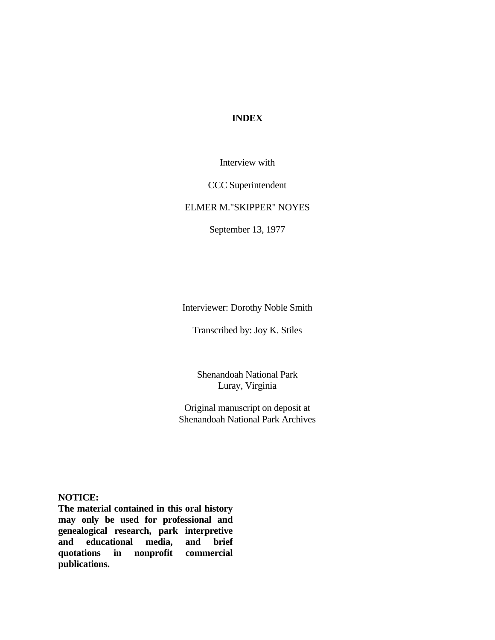# **INDEX**

Interview with

CCC Superintendent

# ELMER M."SKIPPER" NOYES

September 13, 1977

Interviewer: Dorothy Noble Smith

Transcribed by: Joy K. Stiles

Shenandoah National Park Luray, Virginia

Original manuscript on deposit at Shenandoah National Park Archives

**NOTICE:**

**The material contained in this oral history may only be used for professional and genealogical research, park interpretive and educational media, and brief quotations in nonprofit commercial publications.**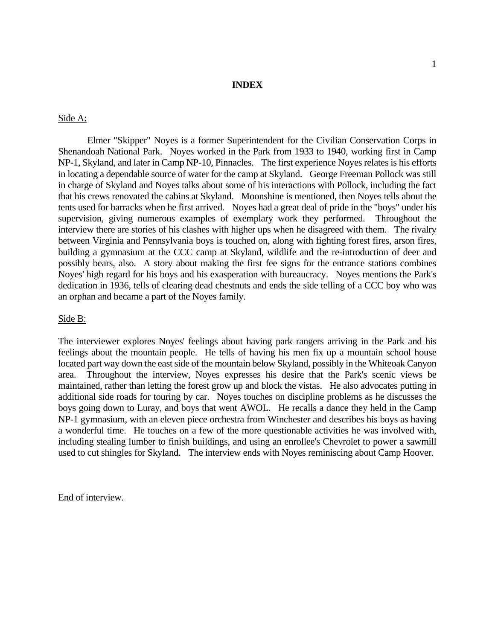## **INDEX**

### Side A:

Elmer "Skipper" Noyes is a former Superintendent for the Civilian Conservation Corps in Shenandoah National Park. Noyes worked in the Park from 1933 to 1940, working first in Camp NP-1, Skyland, and later in Camp NP-10, Pinnacles. The first experience Noyes relates is his efforts in locating a dependable source of water for the camp at Skyland. George Freeman Pollock was still in charge of Skyland and Noyes talks about some of his interactions with Pollock, including the fact that his crews renovated the cabins at Skyland. Moonshine is mentioned, then Noyes tells about the tents used for barracks when he first arrived. Noyes had a great deal of pride in the "boys" under his supervision, giving numerous examples of exemplary work they performed. Throughout the interview there are stories of his clashes with higher ups when he disagreed with them. The rivalry between Virginia and Pennsylvania boys is touched on, along with fighting forest fires, arson fires, building a gymnasium at the CCC camp at Skyland, wildlife and the re-introduction of deer and possibly bears, also. A story about making the first fee signs for the entrance stations combines Noyes' high regard for his boys and his exasperation with bureaucracy. Noyes mentions the Park's dedication in 1936, tells of clearing dead chestnuts and ends the side telling of a CCC boy who was an orphan and became a part of the Noyes family.

#### Side B:

The interviewer explores Noyes' feelings about having park rangers arriving in the Park and his feelings about the mountain people. He tells of having his men fix up a mountain school house located part way down the east side of the mountain below Skyland, possibly in the Whiteoak Canyon area. Throughout the interview, Noyes expresses his desire that the Park's scenic views be maintained, rather than letting the forest grow up and block the vistas. He also advocates putting in additional side roads for touring by car. Noyes touches on discipline problems as he discusses the boys going down to Luray, and boys that went AWOL. He recalls a dance they held in the Camp NP-1 gymnasium, with an eleven piece orchestra from Winchester and describes his boys as having a wonderful time. He touches on a few of the more questionable activities he was involved with, including stealing lumber to finish buildings, and using an enrollee's Chevrolet to power a sawmill used to cut shingles for Skyland. The interview ends with Noyes reminiscing about Camp Hoover.

End of interview.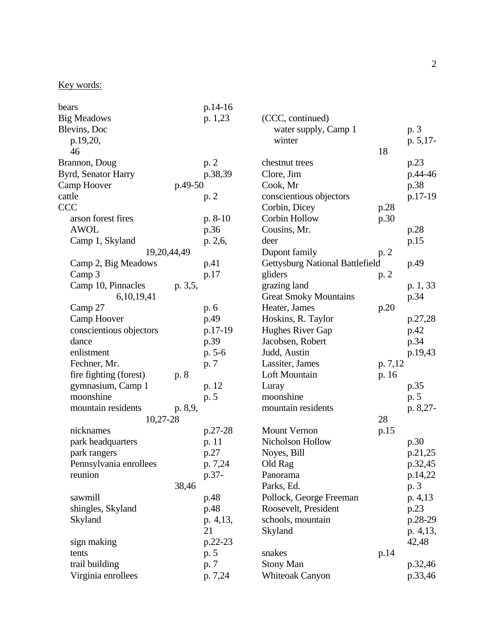# Key words:

| bears                   |         | p.14-16   |                                        |         |          |
|-------------------------|---------|-----------|----------------------------------------|---------|----------|
| <b>Big Meadows</b>      |         | p. 1,23   | (CCC, continued)                       |         |          |
| Blevins, Doc            |         |           | water supply, Camp 1                   |         | p. 3     |
| p.19,20,                |         |           | winter                                 |         | p. 5,17- |
| 46                      |         |           |                                        | 18      |          |
| Brannon, Doug           |         | p. 2      | chestnut trees                         |         | p.23     |
| Byrd, Senator Harry     |         | p.38,39   | Clore, Jim                             |         | p.44-46  |
| Camp Hoover             | p.49-50 |           | Cook, Mr                               |         | p.38     |
| cattle                  |         | p. 2      | conscientious objectors                |         | p.17-19  |
| <b>CCC</b>              |         |           | Corbin, Dicey                          | p.28    |          |
| arson forest fires      |         | $p. 8-10$ | <b>Corbin Hollow</b>                   | p.30    |          |
| <b>AWOL</b>             |         | p.36      | Cousins, Mr.                           |         | p.28     |
| Camp 1, Skyland         |         | p. 2,6,   | deer                                   |         | p.15     |
| 19,20,44,49             |         |           | Dupont family                          | p. 2    |          |
| Camp 2, Big Meadows     |         | p.41      | <b>Gettysburg National Battlefield</b> |         | p.49     |
| Camp 3                  |         | p.17      | gliders                                | p. 2    |          |
| Camp 10, Pinnacles      | p. 3,5, |           | grazing land                           |         | p. 1, 33 |
| 6, 10, 19, 41           |         |           | <b>Great Smoky Mountains</b>           |         | p.34     |
| Camp 27                 |         | p. 6      | Heater, James                          | p.20    |          |
| Camp Hoover             |         | p.49      | Hoskins, R. Taylor                     |         | p.27,28  |
| conscientious objectors |         | p.17-19   | Hughes River Gap                       |         | p.42     |
| dance                   |         | p.39      | Jacobsen, Robert                       |         | p.34     |
| enlistment              |         | $p. 5-6$  | Judd, Austin                           |         | p.19,43  |
| Fechner, Mr.            |         | p. 7      | Lassiter, James                        | p. 7,12 |          |
| fire fighting (forest)  | p. 8    |           | Loft Mountain                          | p. 16   |          |
| gymnasium, Camp 1       |         | p. 12     | Luray                                  |         | p.35     |
| moonshine               |         | p. 5      | moonshine                              |         | p. 5     |
| mountain residents      | p. 8,9, |           | mountain residents                     |         | p. 8,27- |
| 10,27-28                |         |           |                                        | 28      |          |
| nicknames               |         | p.27-28   | <b>Mount Vernon</b>                    | p.15    |          |
| park headquarters       |         | p. 11     | Nicholson Hollow                       |         | p.30     |
| park rangers            |         | p.27      | Noyes, Bill                            |         | p.21,25  |
| Pennsylvania enrollees  |         | p. 7,24   | Old Rag                                |         | p.32,45  |
| reunion                 |         | p.37-     | Panorama                               |         | p.14,22  |
|                         | 38,46   |           | Parks, Ed.                             |         | p. 3     |
| sawmill                 |         | p.48      | Pollock, George Freeman                |         | p. 4, 13 |
| shingles, Skyland       |         | p.48      | Roosevelt, President                   |         | p.23     |
| Skyland                 |         | p. 4,13,  | schools, mountain                      |         | p.28-29  |
|                         |         | 21        | Skyland                                |         | p. 4,13, |
| sign making             |         | p.22-23   |                                        |         | 42,48    |
| tents                   |         | p. 5      | snakes                                 | p.14    |          |
| trail building          |         | p. 7      | <b>Stony Man</b>                       |         | p.32,46  |
| Virginia enrollees      |         | p. 7,24   | <b>Whiteoak Canyon</b>                 |         | p.33,46  |